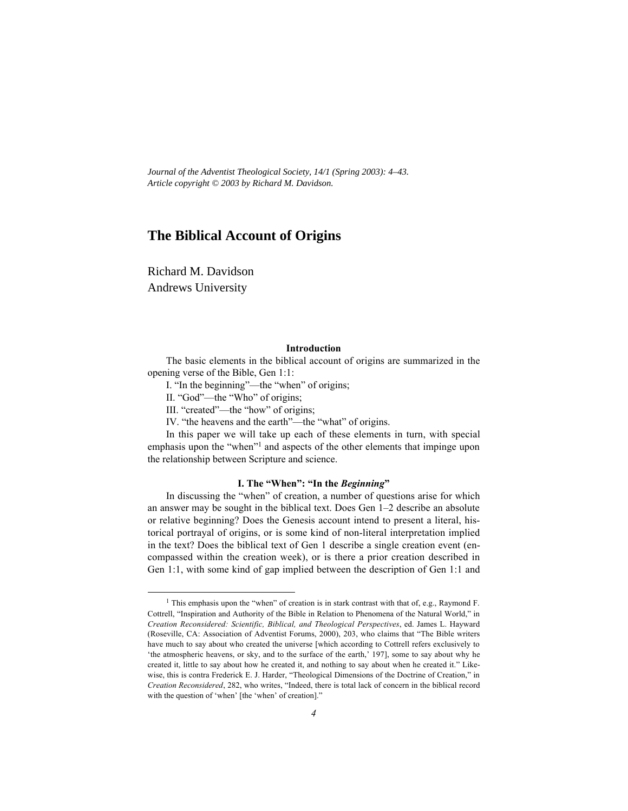*Journal of the Adventist Theological Society, 14/1 (Spring 2003): 4–43. Article copyright © 2003 by Richard M. Davidson.*

# **The Biblical Account of Origins**

Richard M. Davidson Andrews University

#### **Introduction**

The basic elements in the biblical account of origins are summarized in the opening verse of the Bible, Gen 1:1:

I. "In the beginning"—the "when" of origins;

II. "God"—the "Who" of origins;

III. "created"—the "how" of origins;

IV. "the heavens and the earth"—the "what" of origins.

In this paper we will take up each of these elements in turn, with special emphasis upon the "when"<sup>1</sup> and aspects of the other elements that impinge upon the relationship between Scripture and science.

### **I. The "When": "In the** *Beginning***"**

In discussing the "when" of creation, a number of questions arise for which an answer may be sought in the biblical text. Does Gen 1–2 describe an absolute or relative beginning? Does the Genesis account intend to present a literal, historical portrayal of origins, or is some kind of non-literal interpretation implied in the text? Does the biblical text of Gen 1 describe a single creation event (encompassed within the creation week), or is there a prior creation described in Gen 1:1, with some kind of gap implied between the description of Gen 1:1 and

<sup>1</sup> <sup>1</sup> This emphasis upon the "when" of creation is in stark contrast with that of, e.g., Raymond F. Cottrell, "Inspiration and Authority of the Bible in Relation to Phenomena of the Natural World," in *Creation Reconsidered: Scientific, Biblical, and Theological Perspectives*, ed. James L. Hayward (Roseville, CA: Association of Adventist Forums, 2000), 203, who claims that "The Bible writers have much to say about who created the universe [which according to Cottrell refers exclusively to 'the atmospheric heavens, or sky, and to the surface of the earth,' 197], some to say about why he created it, little to say about how he created it, and nothing to say about when he created it." Likewise, this is contra Frederick E. J. Harder, "Theological Dimensions of the Doctrine of Creation," in *Creation Reconsidered*, 282, who writes, "Indeed, there is total lack of concern in the biblical record with the question of 'when' [the 'when' of creation]."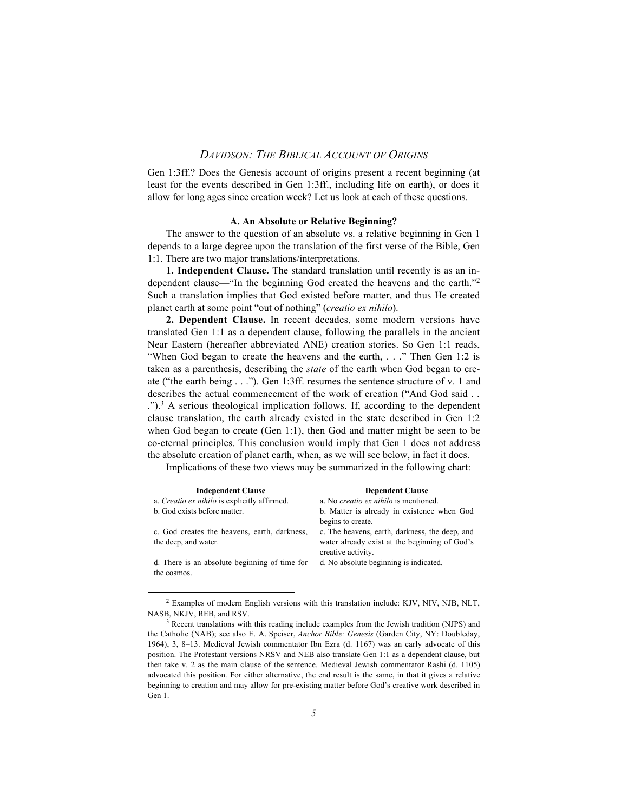Gen 1:3ff.? Does the Genesis account of origins present a recent beginning (at least for the events described in Gen 1:3ff., including life on earth), or does it allow for long ages since creation week? Let us look at each of these questions.

#### **A. An Absolute or Relative Beginning?**

The answer to the question of an absolute vs. a relative beginning in Gen 1 depends to a large degree upon the translation of the first verse of the Bible, Gen 1:1. There are two major translations/interpretations.

**1. Independent Clause.** The standard translation until recently is as an independent clause—"In the beginning God created the heavens and the earth."2 Such a translation implies that God existed before matter, and thus He created planet earth at some point "out of nothing" (*creatio ex nihilo*).

**2. Dependent Clause.** In recent decades, some modern versions have translated Gen 1:1 as a dependent clause, following the parallels in the ancient Near Eastern (hereafter abbreviated ANE) creation stories. So Gen 1:1 reads, "When God began to create the heavens and the earth, . . ." Then Gen 1:2 is taken as a parenthesis, describing the *state* of the earth when God began to create ("the earth being . . ."). Gen 1:3ff. resumes the sentence structure of v. 1 and describes the actual commencement of the work of creation ("And God said . . .").3 A serious theological implication follows. If, according to the dependent clause translation, the earth already existed in the state described in Gen 1:2 when God began to create (Gen 1:1), then God and matter might be seen to be co-eternal principles. This conclusion would imply that Gen 1 does not address the absolute creation of planet earth, when, as we will see below, in fact it does.

Implications of these two views may be summarized in the following chart:

| <b>Independent Clause</b>                                            | <b>Dependent Clause</b>                                                                                               |
|----------------------------------------------------------------------|-----------------------------------------------------------------------------------------------------------------------|
| a. Creatio ex nihilo is explicitly affirmed.                         | a. No creatio ex nihilo is mentioned.                                                                                 |
| b. God exists before matter.                                         | b. Matter is already in existence when God                                                                            |
|                                                                      | begins to create.                                                                                                     |
| c. God creates the heavens, earth, darkness,<br>the deep, and water. | c. The heavens, earth, darkness, the deep, and<br>water already exist at the beginning of God's<br>creative activity. |
| d. There is an absolute beginning of time for<br>the cosmos.         | d. No absolute beginning is indicated.                                                                                |
|                                                                      |                                                                                                                       |

 $\frac{1}{2}$ <sup>2</sup> Examples of modern English versions with this translation include: KJV, NJV, NJB, NLT, NASB, NKJV, REB, and RSV.

 $3\overline{3}$  Recent translations with this reading include examples from the Jewish tradition (NJPS) and the Catholic (NAB); see also E. A. Speiser, *Anchor Bible: Genesis* (Garden City, NY: Doubleday, 1964), 3, 8–13. Medieval Jewish commentator Ibn Ezra (d. 1167) was an early advocate of this position. The Protestant versions NRSV and NEB also translate Gen 1:1 as a dependent clause, but then take v. 2 as the main clause of the sentence. Medieval Jewish commentator Rashi (d. 1105) advocated this position. For either alternative, the end result is the same, in that it gives a relative beginning to creation and may allow for pre-existing matter before God's creative work described in Gen 1.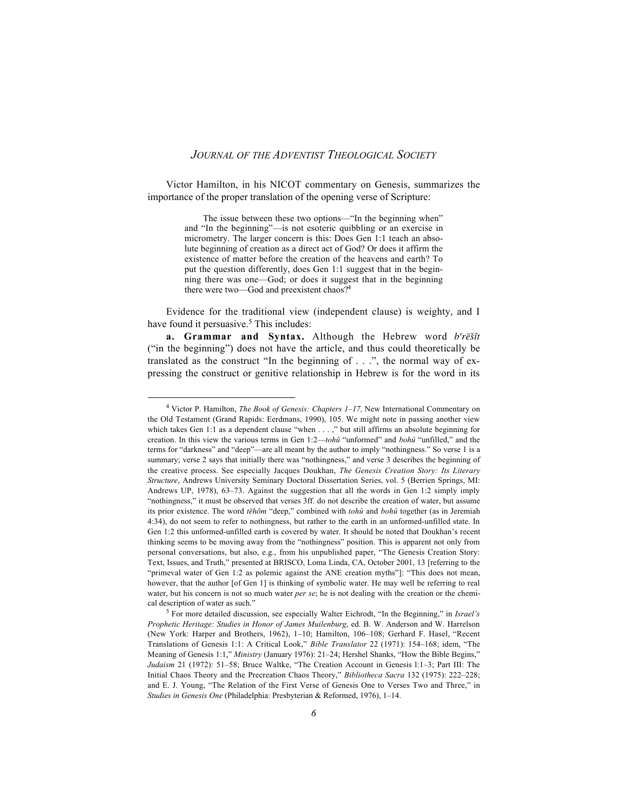Victor Hamilton, in his NICOT commentary on Genesis, summarizes the importance of the proper translation of the opening verse of Scripture:

> The issue between these two options—"In the beginning when" and "In the beginning"—is not esoteric quibbling or an exercise in micrometry. The larger concern is this: Does Gen 1:1 teach an absolute beginning of creation as a direct act of God? Or does it affirm the existence of matter before the creation of the heavens and earth? To put the question differently, does Gen 1:1 suggest that in the beginning there was one—God; or does it suggest that in the beginning there were two—God and preexistent chaos?<sup>4</sup>

Evidence for the traditional view (independent clause) is weighty, and I have found it persuasive.<sup>5</sup> This includes:

a. Grammar and Syntax. Although the Hebrew word *b*<sup>e</sup>rešît ("in the beginning") does not have the article, and thus could theoretically be translated as the construct "In the beginning of . . .", the normal way of expressing the construct or genitive relationship in Hebrew is for the word in its

 $\frac{1}{4}$  Victor P. Hamilton, *The Book of Genesis: Chapters 1–17,* New International Commentary on the Old Testament (Grand Rapids: Eerdmans, 1990), 105. We might note in passing another view which takes Gen 1:1 as a dependent clause "when . . . ," but still affirms an absolute beginning for creation. In this view the various terms in Gen 1:2—*tohû* "unformed" and *bohû* "unfilled," and the terms for "darkness" and "deep"—are all meant by the author to imply "nothingness." So verse 1 is a summary; verse 2 says that initially there was "nothingness," and verse 3 describes the beginning of the creative process. See especially Jacques Doukhan, *The Genesis Creation Story: Its Literary Structure*, Andrews University Seminary Doctoral Dissertation Series, vol. 5 (Berrien Springs, MI: Andrews UP, 1978), 63–73. Against the suggestion that all the words in Gen 1:2 simply imply "nothingness," it must be observed that verses 3ff. do not describe the creation of water, but assume its prior existence. The word *tēhôm* "deep," combined with *tohû* and *bohû* together (as in Jeremiah 4:34), do not seem to refer to nothingness, but rather to the earth in an unformed-unfilled state. In Gen 1:2 this unformed-unfilled earth is covered by water. It should be noted that Doukhan's recent thinking seems to be moving away from the "nothingness" position. This is apparent not only from personal conversations, but also, e.g., from his unpublished paper, "The Genesis Creation Story: Text, Issues, and Truth," presented at BRISCO, Loma Linda, CA, October 2001, 13 [referring to the "primeval water of Gen 1:2 as polemic against the ANE creation myths"]: "This does not mean, however, that the author [of Gen 1] is thinking of symbolic water. He may well be referring to real water, but his concern is not so much water *per se*; he is not dealing with the creation or the chemical description of water as such."

<sup>5</sup> For more detailed discussion, see especially Walter Eichrodt, "In the Beginning," in *Israel's Prophetic Heritage: Studies in Honor of James Muilenburg*, ed. B. W. Anderson and W. Harrelson (New York: Harper and Brothers, 1962), 1–10; Hamilton, 106–108; Gerhard F. Hasel, "Recent Translations of Genesis 1:1: A Critical Look," *Bible Translator* 22 (1971): 154–168; idem, "The Meaning of Genesis 1:1," *Ministry* (January 1976): 21–24; Hershel Shanks, "How the Bible Begins," *Judaism* 21 (1972): 51–58; Bruce Waltke, "The Creation Account in Genesis l:1–3; Part III: The Initial Chaos Theory and the Precreation Chaos Theory," *Bibliotheca Sacra* 132 (1975): 222–228; and E. J. Young, "The Relation of the First Verse of Genesis One to Verses Two and Three," in *Studies in Genesis One* (Philadelphia: Presbyterian & Reformed, 1976), 1–14.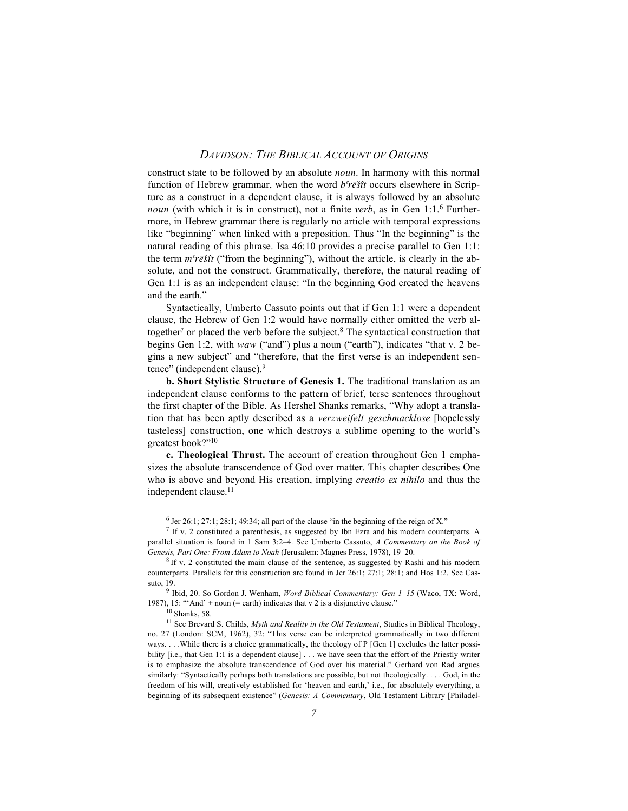construct state to be followed by an absolute *noun*. In harmony with this normal function of Hebrew grammar, when the word  $b<sup>e</sup>r\bar{e}\$ it occurs elsewhere in Scripture as a construct in a dependent clause, it is always followed by an absolute *noun* (with which it is in construct), not a finite *verb*, as in Gen 1:1.6 Furthermore, in Hebrew grammar there is regularly no article with temporal expressions like "beginning" when linked with a preposition. Thus "In the beginning" is the natural reading of this phrase. Isa 46:10 provides a precise parallel to Gen 1:1: the term  $m^e r \bar{e} \hat{s} \hat{u}$  ("from the beginning"), without the article, is clearly in the absolute, and not the construct. Grammatically, therefore, the natural reading of Gen 1:1 is as an independent clause: "In the beginning God created the heavens and the earth."

Syntactically, Umberto Cassuto points out that if Gen 1:1 were a dependent clause, the Hebrew of Gen 1:2 would have normally either omitted the verb altogether<sup>7</sup> or placed the verb before the subject.<sup>8</sup> The syntactical construction that begins Gen 1:2, with *waw* ("and") plus a noun ("earth"), indicates "that v. 2 begins a new subject" and "therefore, that the first verse is an independent sentence" (independent clause).9

**b. Short Stylistic Structure of Genesis 1.** The traditional translation as an independent clause conforms to the pattern of brief, terse sentences throughout the first chapter of the Bible. As Hershel Shanks remarks, "Why adopt a translation that has been aptly described as a *verzweifelt geschmacklose* [hopelessly tasteless] construction, one which destroys a sublime opening to the world's greatest book?"<sup>10</sup>

**c. Theological Thrust.** The account of creation throughout Gen 1 emphasizes the absolute transcendence of God over matter. This chapter describes One who is above and beyond His creation, implying *creatio ex nihilo* and thus the independent clause.<sup>11</sup>

 $\overline{\phantom{0}}$  $6$  Jer 26:1; 27:1; 28:1; 49:34; all part of the clause "in the beginning of the reign of X."

<sup>&</sup>lt;sup>7</sup> If v. 2 constituted a parenthesis, as suggested by Ibn Ezra and his modern counterparts. A parallel situation is found in 1 Sam 3:2–4. See Umberto Cassuto, *A Commentary on the Book of Genesis, Part One: From Adam to Noah* (Jerusalem: Magnes Press, 1978), 19–20.

<sup>8</sup> If v. 2 constituted the main clause of the sentence, as suggested by Rashi and his modern counterparts. Parallels for this construction are found in Jer 26:1; 27:1; 28:1; and Hos 1:2. See Cassuto, 19.

<sup>9</sup> Ibid, 20. So Gordon J. Wenham, *Word Biblical Commentary: Gen 1–15* (Waco, TX: Word, 1987), 15: "'And' + noun (= earth) indicates that v 2 is a disjunctive clause."

<sup>10</sup> Shanks, 58.

<sup>&</sup>lt;sup>11</sup> See Brevard S. Childs, *Myth and Reality in the Old Testament*, Studies in Biblical Theology, no. 27 (London: SCM, 1962), 32: "This verse can be interpreted grammatically in two different ways. . . . While there is a choice grammatically, the theology of P [Gen 1] excludes the latter possibility [i.e., that Gen 1:1 is a dependent clause] . . . we have seen that the effort of the Priestly writer is to emphasize the absolute transcendence of God over his material." Gerhard von Rad argues similarly: "Syntactically perhaps both translations are possible, but not theologically. . . . God, in the freedom of his will, creatively established for 'heaven and earth,' i.e., for absolutely everything, a beginning of its subsequent existence" (*Genesis: A Commentary*, Old Testament Library [Philadel-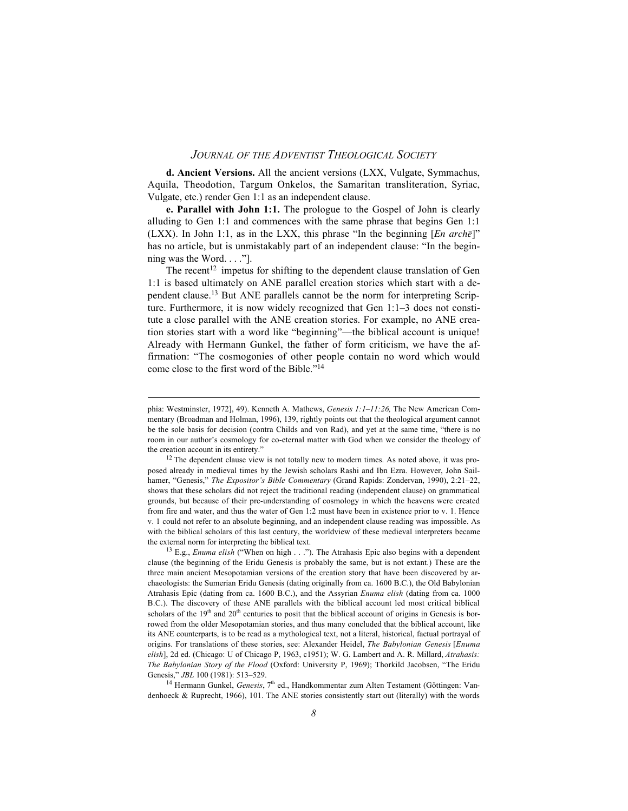**d. Ancient Versions.** All the ancient versions (LXX, Vulgate, Symmachus, Aquila, Theodotion, Targum Onkelos, the Samaritan transliteration, Syriac, Vulgate, etc.) render Gen 1:1 as an independent clause.

**e. Parallel with John 1:1.** The prologue to the Gospel of John is clearly alluding to Gen 1:1 and commences with the same phrase that begins Gen 1:1 (LXX). In John 1:1, as in the LXX, this phrase "In the beginning  $[En \ arch\bar{e}$ " has no article, but is unmistakably part of an independent clause: "In the beginning was the Word. . . ."].

The recent<sup>12</sup> impetus for shifting to the dependent clause translation of Gen 1:1 is based ultimately on ANE parallel creation stories which start with a dependent clause.13 But ANE parallels cannot be the norm for interpreting Scripture. Furthermore, it is now widely recognized that Gen 1:1–3 does not constitute a close parallel with the ANE creation stories. For example, no ANE creation stories start with a word like "beginning"—the biblical account is unique! Already with Hermann Gunkel, the father of form criticism, we have the affirmation: "The cosmogonies of other people contain no word which would come close to the first word of the Bible."14

 $\overline{a}$ 

<sup>14</sup> Hermann Gunkel, *Genesis*, 7<sup>th</sup> ed., Handkommentar zum Alten Testament (Göttingen: Vandenhoeck & Ruprecht, 1966), 101. The ANE stories consistently start out (literally) with the words

phia: Westminster, 1972], 49). Kenneth A. Mathews, *Genesis 1:1–11:26,* The New American Commentary (Broadman and Holman, 1996), 139, rightly points out that the theological argument cannot be the sole basis for decision (contra Childs and von Rad), and yet at the same time, "there is no room in our author's cosmology for co-eternal matter with God when we consider the theology of the creation account in its entirety.'

<sup>&</sup>lt;sup>12</sup> The dependent clause view is not totally new to modern times. As noted above, it was proposed already in medieval times by the Jewish scholars Rashi and Ibn Ezra. However, John Sailhamer, "Genesis," *The Expositor's Bible Commentary* (Grand Rapids: Zondervan, 1990), 2:21–22, shows that these scholars did not reject the traditional reading (independent clause) on grammatical grounds, but because of their pre-understanding of cosmology in which the heavens were created from fire and water, and thus the water of Gen 1:2 must have been in existence prior to v. 1. Hence v. 1 could not refer to an absolute beginning, and an independent clause reading was impossible. As with the biblical scholars of this last century, the worldview of these medieval interpreters became the external norm for interpreting the biblical text.

<sup>&</sup>lt;sup>13</sup> E.g., *Enuma elish* ("When on high . . ."). The Atrahasis Epic also begins with a dependent clause (the beginning of the Eridu Genesis is probably the same, but is not extant.) These are the three main ancient Mesopotamian versions of the creation story that have been discovered by archaeologists: the Sumerian Eridu Genesis (dating originally from ca. 1600 B.C.), the Old Babylonian Atrahasis Epic (dating from ca. 1600 B.C.), and the Assyrian *Enuma elish* (dating from ca. 1000 B.C.). The discovery of these ANE parallels with the biblical account led most critical biblical scholars of the  $19<sup>th</sup>$  and  $20<sup>th</sup>$  centuries to posit that the biblical account of origins in Genesis is borrowed from the older Mesopotamian stories, and thus many concluded that the biblical account, like its ANE counterparts, is to be read as a mythological text, not a literal, historical, factual portrayal of origins. For translations of these stories, see: Alexander Heidel, *The Babylonian Genesis* [*Enuma elish*], 2d ed. (Chicago: U of Chicago P, 1963, c1951); W. G. Lambert and A. R. Millard, *Atrahasis: The Babylonian Story of the Flood* (Oxford: University P, 1969); Thorkild Jacobsen, "The Eridu Genesis," *JBL* 100 (1981): 513–529.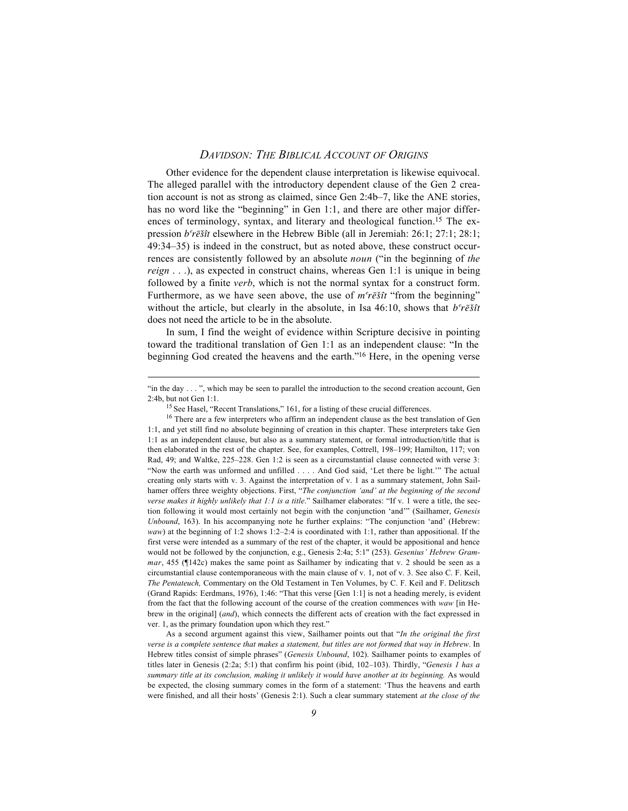Other evidence for the dependent clause interpretation is likewise equivocal. The alleged parallel with the introductory dependent clause of the Gen 2 creation account is not as strong as claimed, since Gen 2:4b–7, like the ANE stories, has no word like the "beginning" in Gen 1:1, and there are other major differences of terminology, syntax, and literary and theological function.<sup>15</sup> The expression *b§reœs¥ˆît* elsewhere in the Hebrew Bible (all in Jeremiah: 26:1; 27:1; 28:1; 49:34–35) is indeed in the construct, but as noted above, these construct occurrences are consistently followed by an absolute *noun* ("in the beginning of *the reign* . . .), as expected in construct chains, whereas Gen 1:1 is unique in being followed by a finite *verb*, which is not the normal syntax for a construct form. Furthermore, as we have seen above, the use of  $m^e r \bar{e} \tilde{s} \tilde{u}$  "from the beginning" without the article, but clearly in the absolute, in Isa  $46:10$ , shows that  $b<sup>e</sup>r\bar{e}\hat{s}t\hat{t}$ does not need the article to be in the absolute.

In sum, I find the weight of evidence within Scripture decisive in pointing toward the traditional translation of Gen 1:1 as an independent clause: "In the beginning God created the heavens and the earth."16 Here, in the opening verse

 $\overline{a}$ 

As a second argument against this view, Sailhamer points out that "*In the original the first verse is a complete sentence that makes a statement, but titles are not formed that way in Hebrew*. In Hebrew titles consist of simple phrases" (*Genesis Unbound*, 102). Sailhamer points to examples of titles later in Genesis (2:2a; 5:1) that confirm his point (ibid, 102–103). Thirdly, "*Genesis 1 has a summary title at its conclusion, making it unlikely it would have another at its beginning.* As would be expected, the closing summary comes in the form of a statement: 'Thus the heavens and earth were finished, and all their hosts' (Genesis 2:1). Such a clear summary statement *at the close of the*

<sup>&</sup>quot;in the day . . . ", which may be seen to parallel the introduction to the second creation account, Gen 2:4b, but not Gen 1:1.

<sup>&</sup>lt;sup>15</sup> See Hasel, "Recent Translations," 161, for a listing of these crucial differences.

<sup>&</sup>lt;sup>16</sup> There are a few interpreters who affirm an independent clause as the best translation of Gen 1:1, and yet still find no absolute beginning of creation in this chapter. These interpreters take Gen 1:1 as an independent clause, but also as a summary statement, or formal introduction/title that is then elaborated in the rest of the chapter. See, for examples, Cottrell, 198–199; Hamilton, 117; von Rad, 49; and Waltke, 225–228. Gen 1:2 is seen as a circumstantial clause connected with verse 3: "Now the earth was unformed and unfilled . . . . And God said, 'Let there be light.'" The actual creating only starts with v. 3. Against the interpretation of v. 1 as a summary statement, John Sailhamer offers three weighty objections. First, "*The conjunction 'and' at the beginning of the second verse makes it highly unlikely that 1:1 is a title*." Sailhamer elaborates: "If v. 1 were a title, the section following it would most certainly not begin with the conjunction 'and'" (Sailhamer, *Genesis Unbound*, 163). In his accompanying note he further explains: "The conjunction 'and' (Hebrew: *waw*) at the beginning of 1:2 shows 1:2–2:4 is coordinated with 1:1, rather than appositional. If the first verse were intended as a summary of the rest of the chapter, it would be appositional and hence would not be followed by the conjunction, e.g., Genesis 2:4a; 5:1" (253). *Gesenius' Hebrew Grammar*, 455 (¶142c) makes the same point as Sailhamer by indicating that v. 2 should be seen as a circumstantial clause contemporaneous with the main clause of v. 1, not of v. 3. See also C. F. Keil, *The Pentateuch,* Commentary on the Old Testament in Ten Volumes, by C. F. Keil and F. Delitzsch (Grand Rapids: Eerdmans, 1976), 1:46: "That this verse [Gen 1:1] is not a heading merely, is evident from the fact that the following account of the course of the creation commences with *waw* [in Hebrew in the original] (*and*), which connects the different acts of creation with the fact expressed in ver. 1, as the primary foundation upon which they rest."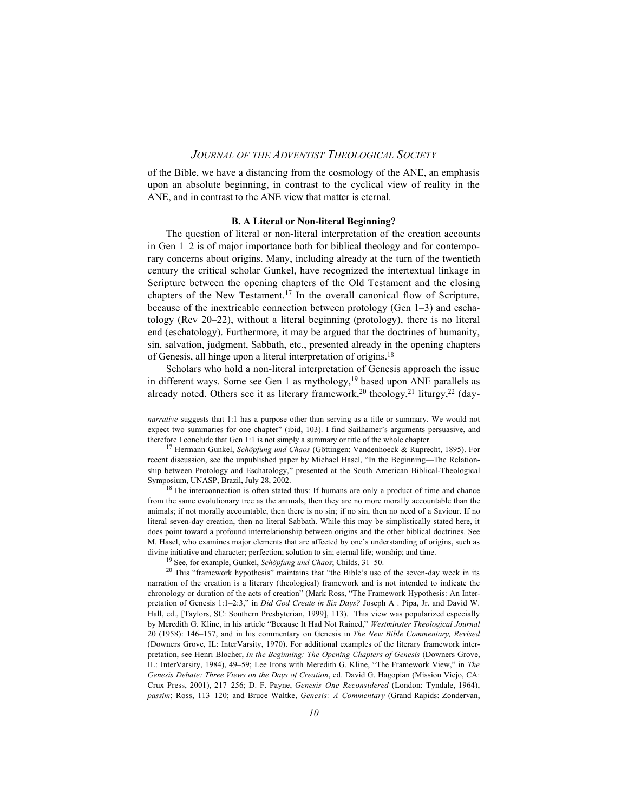of the Bible, we have a distancing from the cosmology of the ANE, an emphasis upon an absolute beginning, in contrast to the cyclical view of reality in the ANE, and in contrast to the ANE view that matter is eternal.

#### **B. A Literal or Non-literal Beginning?**

The question of literal or non-literal interpretation of the creation accounts in Gen 1–2 is of major importance both for biblical theology and for contemporary concerns about origins. Many, including already at the turn of the twentieth century the critical scholar Gunkel, have recognized the intertextual linkage in Scripture between the opening chapters of the Old Testament and the closing chapters of the New Testament.17 In the overall canonical flow of Scripture, because of the inextricable connection between protology (Gen 1–3) and eschatology (Rev 20–22), without a literal beginning (protology), there is no literal end (eschatology). Furthermore, it may be argued that the doctrines of humanity, sin, salvation, judgment, Sabbath, etc., presented already in the opening chapters of Genesis, all hinge upon a literal interpretation of origins.18

Scholars who hold a non-literal interpretation of Genesis approach the issue in different ways. Some see Gen 1 as mythology, $19$  based upon ANE parallels as already noted. Others see it as literary framework,<sup>20</sup> theology,<sup>21</sup> liturgy,<sup>22</sup> (day-

<sup>18</sup> The interconnection is often stated thus: If humans are only a product of time and chance from the same evolutionary tree as the animals, then they are no more morally accountable than the animals; if not morally accountable, then there is no sin; if no sin, then no need of a Saviour. If no literal seven-day creation, then no literal Sabbath. While this may be simplistically stated here, it does point toward a profound interrelationship between origins and the other biblical doctrines. See M. Hasel, who examines major elements that are affected by one's understanding of origins, such as divine initiative and character; perfection; solution to sin; eternal life; worship; and time.

 $\overline{a}$ 

*narrative* suggests that 1:1 has a purpose other than serving as a title or summary. We would not expect two summaries for one chapter" (ibid, 103). I find Sailhamer's arguments persuasive, and therefore I conclude that Gen 1:1 is not simply a summary or title of the whole chapter.

<sup>17</sup> Hermann Gunkel, *Schöpfung und Chaos* (Göttingen: Vandenhoeck & Ruprecht, 1895). For recent discussion, see the unpublished paper by Michael Hasel, "In the Beginning—The Relationship between Protology and Eschatology," presented at the South American Biblical-Theological Symposium, UNASP, Brazil, July 28, 2002.

<sup>19</sup> See, for example, Gunkel, *Schöpfung und Chaos*; Childs, 31–50.

<sup>20</sup> This "framework hypothesis" maintains that "the Bible's use of the seven-day week in its narration of the creation is a literary (theological) framework and is not intended to indicate the chronology or duration of the acts of creation" (Mark Ross, "The Framework Hypothesis: An Interpretation of Genesis 1:1–2:3," in *Did God Create in Six Days?* Joseph A . Pipa, Jr. and David W. Hall, ed., [Taylors, SC: Southern Presbyterian, 1999], 113). This view was popularized especially by Meredith G. Kline, in his article "Because It Had Not Rained," *Westminster Theological Journal* 20 (1958): 146–157, and in his commentary on Genesis in *The New Bible Commentary, Revised* (Downers Grove, IL: InterVarsity, 1970). For additional examples of the literary framework interpretation, see Henri Blocher, *In the Beginning: The Opening Chapters of Genesis* (Downers Grove, IL: InterVarsity, 1984), 49–59; Lee Irons with Meredith G. Kline, "The Framework View," in *The Genesis Debate: Three Views on the Days of Creation*, ed. David G. Hagopian (Mission Viejo, CA: Crux Press, 2001), 217–256; D. F. Payne, *Genesis One Reconsidered* (London: Tyndale, 1964), *passim*; Ross, 113–120; and Bruce Waltke, *Genesis: A Commentary* (Grand Rapids: Zondervan,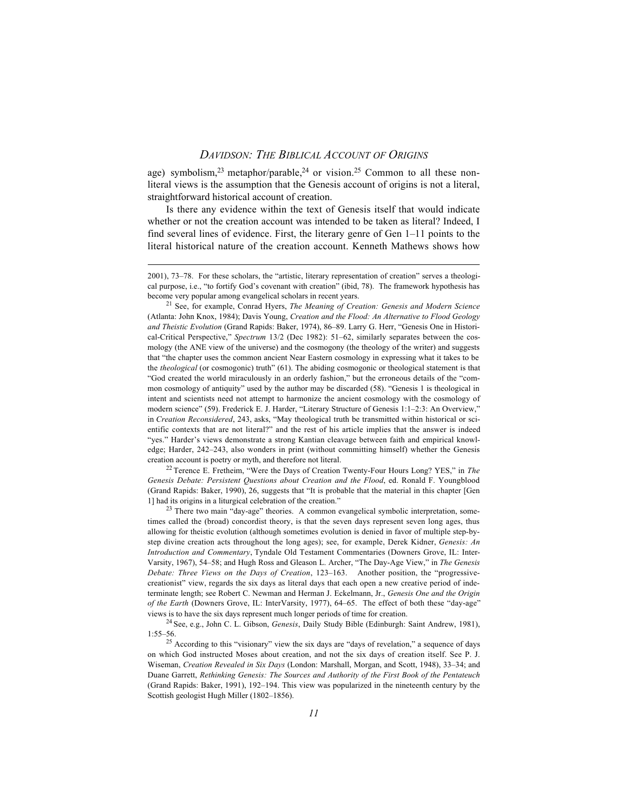age) symbolism,<sup>23</sup> metaphor/parable,<sup>24</sup> or vision.<sup>25</sup> Common to all these nonliteral views is the assumption that the Genesis account of origins is not a literal, straightforward historical account of creation.

Is there any evidence within the text of Genesis itself that would indicate whether or not the creation account was intended to be taken as literal? Indeed, I find several lines of evidence. First, the literary genre of Gen 1–11 points to the literal historical nature of the creation account. Kenneth Mathews shows how

 $\overline{a}$ 

<sup>22</sup> Terence E. Fretheim, "Were the Days of Creation Twenty-Four Hours Long? YES," in *The Genesis Debate: Persistent Questions about Creation and the Flood*, ed. Ronald F. Youngblood (Grand Rapids: Baker, 1990), 26, suggests that "It is probable that the material in this chapter [Gen 1] had its origins in a liturgical celebration of the creation."

<sup>23</sup> There two main "day-age" theories. A common evangelical symbolic interpretation, sometimes called the (broad) concordist theory, is that the seven days represent seven long ages, thus allowing for theistic evolution (although sometimes evolution is denied in favor of multiple step-bystep divine creation acts throughout the long ages); see, for example, Derek Kidner, *Genesis: An Introduction and Commentary*, Tyndale Old Testament Commentaries (Downers Grove, IL: Inter-Varsity, 1967), 54–58; and Hugh Ross and Gleason L. Archer, "The Day-Age View," in *The Genesis Debate: Three Views on the Days of Creation*, 123–163. Another position, the "progressivecreationist" view, regards the six days as literal days that each open a new creative period of indeterminate length; see Robert C. Newman and Herman J. Eckelmann, Jr., *Genesis One and the Origin of the Earth* (Downers Grove, IL: InterVarsity, 1977), 64–65. The effect of both these "day-age" views is to have the six days represent much longer periods of time for creation.

<sup>24</sup> See, e.g., John C. L. Gibson, *Genesis*, Daily Study Bible (Edinburgh: Saint Andrew, 1981), 1:55–56.

25 According to this "visionary" view the six days are "days of revelation," a sequence of days on which God instructed Moses about creation, and not the six days of creation itself. See P. J. Wiseman, *Creation Revealed in Six Days* (London: Marshall, Morgan, and Scott, 1948), 33–34; and Duane Garrett, *Rethinking Genesis: The Sources and Authority of the First Book of the Pentateuch* (Grand Rapids: Baker, 1991), 192–194. This view was popularized in the nineteenth century by the Scottish geologist Hugh Miller (1802–1856).

<sup>2001), 73–78.</sup> For these scholars, the "artistic, literary representation of creation" serves a theological purpose, i.e., "to fortify God's covenant with creation" (ibid, 78). The framework hypothesis has become very popular among evangelical scholars in recent years.

<sup>21</sup> See, for example, Conrad Hyers, *The Meaning of Creation: Genesis and Modern Science* (Atlanta: John Knox, 1984); Davis Young, *Creation and the Flood: An Alternative to Flood Geology and Theistic Evolution* (Grand Rapids: Baker, 1974), 86–89. Larry G. Herr, "Genesis One in Historical-Critical Perspective," *Spectrum* 13/2 (Dec 1982): 51–62, similarly separates between the cosmology (the ANE view of the universe) and the cosmogony (the theology of the writer) and suggests that "the chapter uses the common ancient Near Eastern cosmology in expressing what it takes to be the *theological* (or cosmogonic) truth" (61). The abiding cosmogonic or theological statement is that "God created the world miraculously in an orderly fashion," but the erroneous details of the "common cosmology of antiquity" used by the author may be discarded (58). "Genesis 1 is theological in intent and scientists need not attempt to harmonize the ancient cosmology with the cosmology of modern science" (59). Frederick E. J. Harder, "Literary Structure of Genesis 1:1–2:3: An Overview," in *Creation Reconsidered*, 243, asks, "May theological truth be transmitted within historical or scientific contexts that are not literal?" and the rest of his article implies that the answer is indeed "yes." Harder's views demonstrate a strong Kantian cleavage between faith and empirical knowledge; Harder, 242–243, also wonders in print (without committing himself) whether the Genesis creation account is poetry or myth, and therefore not literal.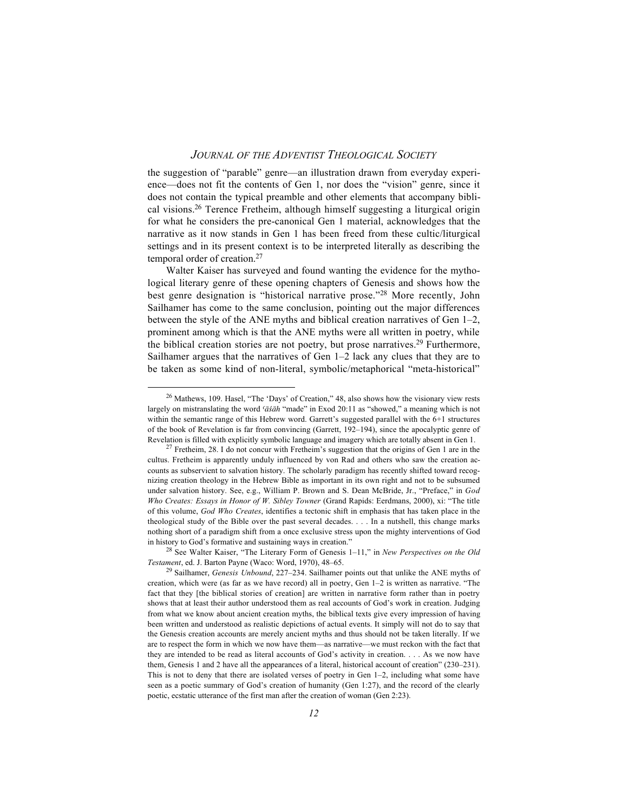the suggestion of "parable" genre—an illustration drawn from everyday experience—does not fit the contents of Gen 1, nor does the "vision" genre, since it does not contain the typical preamble and other elements that accompany biblical visions.26 Terence Fretheim, although himself suggesting a liturgical origin for what he considers the pre-canonical Gen 1 material, acknowledges that the narrative as it now stands in Gen 1 has been freed from these cultic/liturgical settings and in its present context is to be interpreted literally as describing the temporal order of creation.27

Walter Kaiser has surveyed and found wanting the evidence for the mythological literary genre of these opening chapters of Genesis and shows how the best genre designation is "historical narrative prose."28 More recently, John Sailhamer has come to the same conclusion, pointing out the major differences between the style of the ANE myths and biblical creation narratives of Gen 1–2, prominent among which is that the ANE myths were all written in poetry, while the biblical creation stories are not poetry, but prose narratives.<sup>29</sup> Furthermore, Sailhamer argues that the narratives of Gen 1–2 lack any clues that they are to be taken as some kind of non-literal, symbolic/metaphorical "meta-historical"

28 See Walter Kaiser, "The Literary Form of Genesis 1–11," in *New Perspectives on the Old Testament*, ed. J. Barton Payne (Waco: Word, 1970), 48–65.

26 Mathews, 109. Hasel, "The 'Days' of Creation," 48, also shows how the visionary view rests largely on mistranslating the word *{aœséaœh* "made" in Exod 20:11 as "showed," a meaning which is not within the semantic range of this Hebrew word. Garrett's suggested parallel with the 6+1 structures of the book of Revelation is far from convincing (Garrett, 192–194), since the apocalyptic genre of Revelation is filled with explicitly symbolic language and imagery which are totally absent in Gen 1.

 $27$  Fretheim, 28. I do not concur with Fretheim's suggestion that the origins of Gen 1 are in the cultus. Fretheim is apparently unduly influenced by von Rad and others who saw the creation accounts as subservient to salvation history. The scholarly paradigm has recently shifted toward recognizing creation theology in the Hebrew Bible as important in its own right and not to be subsumed under salvation history. See, e.g., William P. Brown and S. Dean McBride, Jr., "Preface," in *God Who Creates: Essays in Honor of W. Sibley Towner* (Grand Rapids: Eerdmans, 2000), xi: "The title of this volume, *God Who Creates*, identifies a tectonic shift in emphasis that has taken place in the theological study of the Bible over the past several decades. . . . In a nutshell, this change marks nothing short of a paradigm shift from a once exclusive stress upon the mighty interventions of God in history to God's formative and sustaining ways in creation."

<sup>29</sup> Sailhamer, *Genesis Unbound*, 227–234. Sailhamer points out that unlike the ANE myths of creation, which were (as far as we have record) all in poetry, Gen 1–2 is written as narrative. "The fact that they [the biblical stories of creation] are written in narrative form rather than in poetry shows that at least their author understood them as real accounts of God's work in creation. Judging from what we know about ancient creation myths, the biblical texts give every impression of having been written and understood as realistic depictions of actual events. It simply will not do to say that the Genesis creation accounts are merely ancient myths and thus should not be taken literally. If we are to respect the form in which we now have them—as narrative—we must reckon with the fact that they are intended to be read as literal accounts of God's activity in creation. . . . As we now have them, Genesis 1 and 2 have all the appearances of a literal, historical account of creation" (230–231). This is not to deny that there are isolated verses of poetry in Gen 1–2, including what some have seen as a poetic summary of God's creation of humanity (Gen 1:27), and the record of the clearly poetic, ecstatic utterance of the first man after the creation of woman (Gen 2:23).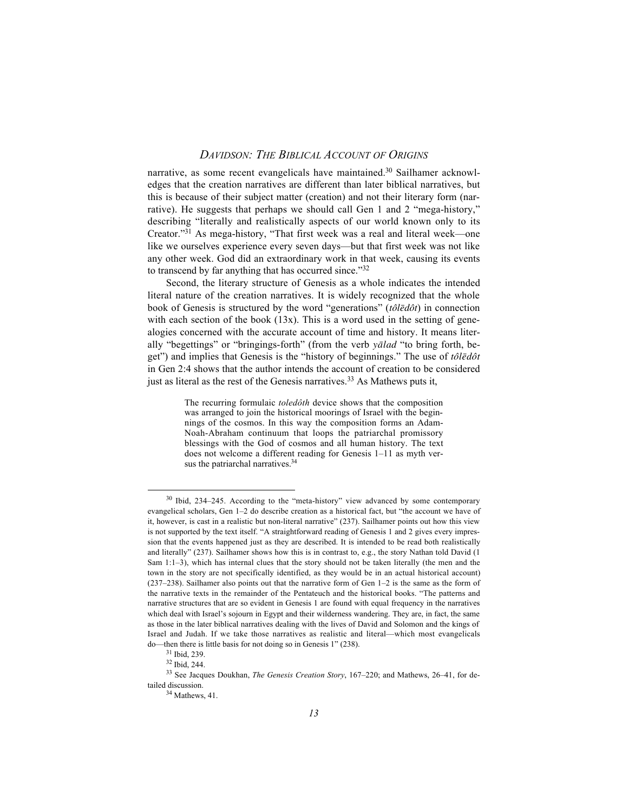narrative, as some recent evangelicals have maintained.<sup>30</sup> Sailhamer acknowledges that the creation narratives are different than later biblical narratives, but this is because of their subject matter (creation) and not their literary form (narrative). He suggests that perhaps we should call Gen 1 and 2 "mega-history," describing "literally and realistically aspects of our world known only to its Creator."31 As mega-history, "That first week was a real and literal week—one like we ourselves experience every seven days—but that first week was not like any other week. God did an extraordinary work in that week, causing its events to transcend by far anything that has occurred since."32

Second, the literary structure of Genesis as a whole indicates the intended literal nature of the creation narratives. It is widely recognized that the whole book of Genesis is structured by the word "generations" ( $t \partial \bar{l} \bar{e} d \hat{\sigma} t$ ) in connection with each section of the book  $(13x)$ . This is a word used in the setting of genealogies concerned with the accurate account of time and history. It means literally "begettings" or "bringings-forth" (from the verb *yalad* "to bring forth, beget") and implies that Genesis is the "history of beginnings." The use of  $t\partial \bar{l} \bar{e} d\hat{o} t$ in Gen 2:4 shows that the author intends the account of creation to be considered just as literal as the rest of the Genesis narratives.<sup>33</sup> As Mathews puts it,

> The recurring formulaic *toledôth* device shows that the composition was arranged to join the historical moorings of Israel with the beginnings of the cosmos. In this way the composition forms an Adam-Noah-Abraham continuum that loops the patriarchal promissory blessings with the God of cosmos and all human history. The text does not welcome a different reading for Genesis 1–11 as myth versus the patriarchal narratives.<sup>34</sup>

30 Ibid, 234–245. According to the "meta-history" view advanced by some contemporary evangelical scholars, Gen 1–2 do describe creation as a historical fact, but "the account we have of it, however, is cast in a realistic but non-literal narrative" (237). Sailhamer points out how this view is not supported by the text itself. "A straightforward reading of Genesis 1 and 2 gives every impression that the events happened just as they are described. It is intended to be read both realistically and literally" (237). Sailhamer shows how this is in contrast to, e.g., the story Nathan told David (1 Sam 1:1–3), which has internal clues that the story should not be taken literally (the men and the town in the story are not specifically identified, as they would be in an actual historical account) (237–238). Sailhamer also points out that the narrative form of Gen 1–2 is the same as the form of the narrative texts in the remainder of the Pentateuch and the historical books. "The patterns and narrative structures that are so evident in Genesis 1 are found with equal frequency in the narratives which deal with Israel's sojourn in Egypt and their wilderness wandering. They are, in fact, the same as those in the later biblical narratives dealing with the lives of David and Solomon and the kings of Israel and Judah. If we take those narratives as realistic and literal—which most evangelicals do—then there is little basis for not doing so in Genesis 1" (238).

<sup>31</sup> Ibid, 239.

<sup>32</sup> Ibid, 244.

<sup>33</sup> See Jacques Doukhan, *The Genesis Creation Story*, 167–220; and Mathews, 26–41, for detailed discussion.

 $34$  Mathews, 41.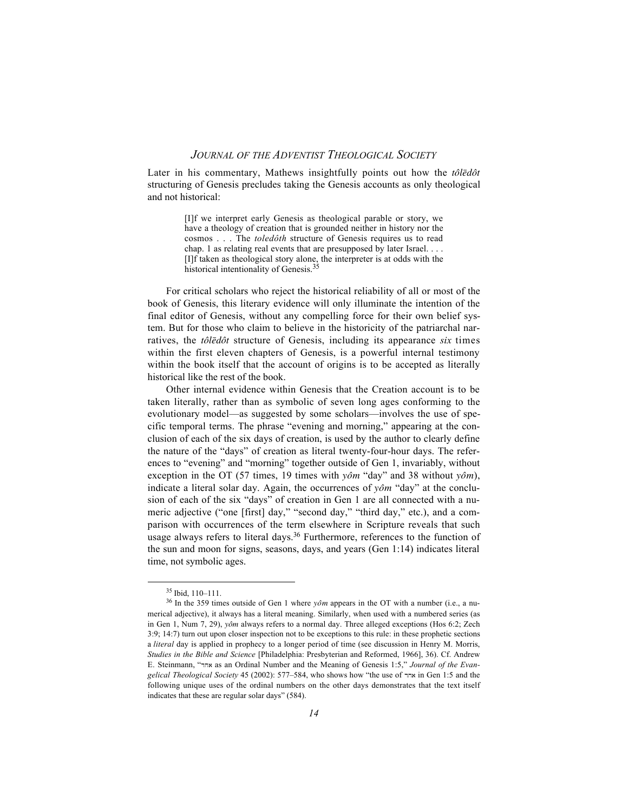Later in his commentary, Mathews insightfully points out how the *tôledôt* structuring of Genesis precludes taking the Genesis accounts as only theological and not historical:

> [I]f we interpret early Genesis as theological parable or story, we have a theology of creation that is grounded neither in history nor the cosmos . . . The *toledôth* structure of Genesis requires us to read chap. 1 as relating real events that are presupposed by later Israel. . . . [I]f taken as theological story alone, the interpreter is at odds with the historical intentionality of Genesis.<sup>35</sup>

For critical scholars who reject the historical reliability of all or most of the book of Genesis, this literary evidence will only illuminate the intention of the final editor of Genesis, without any compelling force for their own belief system. But for those who claim to believe in the historicity of the patriarchal narratives, the *tôledôt* structure of Genesis, including its appearance *six* times within the first eleven chapters of Genesis, is a powerful internal testimony within the book itself that the account of origins is to be accepted as literally historical like the rest of the book.

Other internal evidence within Genesis that the Creation account is to be taken literally, rather than as symbolic of seven long ages conforming to the evolutionary model—as suggested by some scholars—involves the use of specific temporal terms. The phrase "evening and morning," appearing at the conclusion of each of the six days of creation, is used by the author to clearly define the nature of the "days" of creation as literal twenty-four-hour days. The references to "evening" and "morning" together outside of Gen 1, invariably, without exception in the OT (57 times, 19 times with  $\gamma \partial m$  "day" and 38 without  $\gamma \partial m$ ), indicate a literal solar day. Again, the occurrences of *yôm* "day" at the conclusion of each of the six "days" of creation in Gen 1 are all connected with a numeric adjective ("one [first] day," "second day," "third day," etc.), and a comparison with occurrences of the term elsewhere in Scripture reveals that such usage always refers to literal days.<sup>36</sup> Furthermore, references to the function of the sun and moon for signs, seasons, days, and years (Gen 1:14) indicates literal time, not symbolic ages.

35 Ibid, 110–111.

<sup>&</sup>lt;sup>36</sup> In the 359 times outside of Gen 1 where  $y\hat{o}m$  appears in the OT with a number (i.e., a numerical adjective), it always has a literal meaning. Similarly, when used with a numbered series (as in Gen 1, Num 7, 29), *yôm* always refers to a normal day. Three alleged exceptions (Hos 6:2; Zech 3:9; 14:7) turn out upon closer inspection not to be exceptions to this rule: in these prophetic sections a *literal* day is applied in prophecy to a longer period of time (see discussion in Henry M. Morris, *Studies in the Bible and Science* [Philadelphia: Presbyterian and Reformed, 1966], 36). Cf. Andrew E. Steinmann, "dja as an Ordinal Number and the Meaning of Genesis 1:5," *Journal of the Evangelical Theological Society* 45 (2002): 577–584, who shows how "the use of  $\pi$ <sup>x</sup> in Gen 1:5 and the following unique uses of the ordinal numbers on the other days demonstrates that the text itself indicates that these are regular solar days" (584).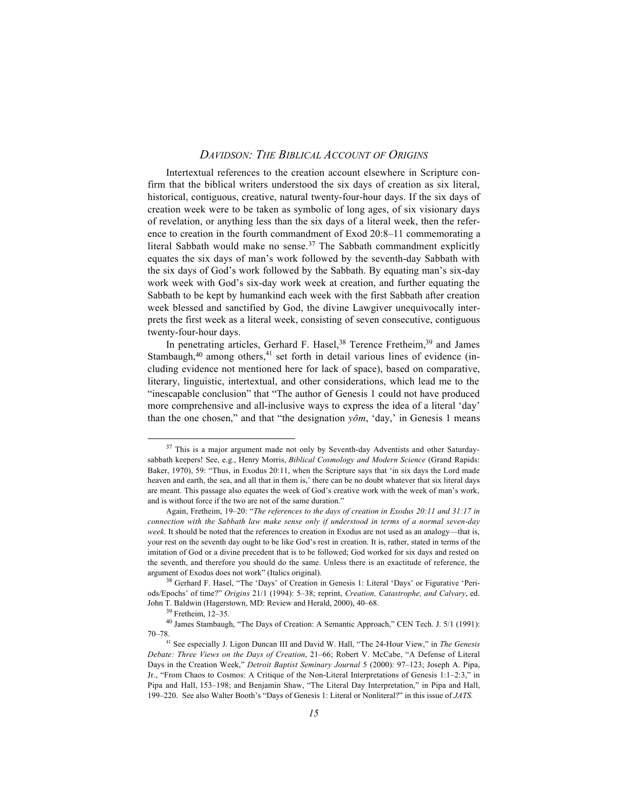Intertextual references to the creation account elsewhere in Scripture confirm that the biblical writers understood the six days of creation as six literal, historical, contiguous, creative, natural twenty-four-hour days. If the six days of creation week were to be taken as symbolic of long ages, of six visionary days of revelation, or anything less than the six days of a literal week, then the reference to creation in the fourth commandment of Exod 20:8–11 commemorating a literal Sabbath would make no sense.<sup>37</sup> The Sabbath commandment explicitly equates the six days of man's work followed by the seventh-day Sabbath with the six days of God's work followed by the Sabbath. By equating man's six-day work week with God's six-day work week at creation, and further equating the Sabbath to be kept by humankind each week with the first Sabbath after creation week blessed and sanctified by God, the divine Lawgiver unequivocally interprets the first week as a literal week, consisting of seven consecutive, contiguous twenty-four-hour days.

In penetrating articles, Gerhard F. Hasel,  $38$  Terence Fretheim,  $39$  and James Stambaugh, $40$  among others, $41$  set forth in detail various lines of evidence (including evidence not mentioned here for lack of space), based on comparative, literary, linguistic, intertextual, and other considerations, which lead me to the "inescapable conclusion" that "The author of Genesis 1 could not have produced more comprehensive and all-inclusive ways to express the idea of a literal 'day' than the one chosen," and that "the designation  $\gamma \hat{\sigma} m$ , 'day,' in Genesis 1 means

<sup>&</sup>lt;sup>37</sup> This is a major argument made not only by Seventh-day Adventists and other Saturdaysabbath keepers! See, e.g., Henry Morris, *Biblical Cosmology and Modern Science* (Grand Rapids: Baker, 1970), 59: "Thus, in Exodus 20:11, when the Scripture says that 'in six days the Lord made heaven and earth, the sea, and all that in them is,' there can be no doubt whatever that six literal days are meant. This passage also equates the week of God's creative work with the week of man's work, and is without force if the two are not of the same duration."

Again, Fretheim, 19–20: "*The references to the days of creation in Exodus 20:11 and 31:17 in connection with the Sabbath law make sense only if understood in terms of a normal seven-day week.* It should be noted that the references to creation in Exodus are not used as an analogy—that is, your rest on the seventh day ought to be like God's rest in creation. It is, rather, stated in terms of the imitation of God or a divine precedent that is to be followed; God worked for six days and rested on the seventh, and therefore you should do the same. Unless there is an exactitude of reference, the argument of Exodus does not work" (Italics original).

<sup>38</sup> Gerhard F. Hasel, "The 'Days' of Creation in Genesis 1: Literal 'Days' or Figurative 'Periods/Epochs' of time?" *Origins* 21/1 (1994): 5–38; reprint, *Creation, Catastrophe, and Calvary*, ed. John T. Baldwin (Hagerstown, MD: Review and Herald, 2000), 40–68.

<sup>39</sup> Fretheim, 12–35.

<sup>40</sup> James Stambaugh, "The Days of Creation: A Semantic Approach," CEN Tech. J. 5/1 (1991): 70–78.41 See especially J. Ligon Duncan III and David W. Hall, "The 24-Hour View," in *The Genesis*

*Debate: Three Views on the Days of Creation*, 21–66; Robert V. McCabe, "A Defense of Literal Days in the Creation Week," *Detroit Baptist Seminary Journal* 5 (2000): 97–123; Joseph A. Pipa, Jr., "From Chaos to Cosmos: A Critique of the Non-Literal Interpretations of Genesis 1:1–2:3," in Pipa and Hall, 153–198; and Benjamin Shaw, "The Literal Day Interpretation," in Pipa and Hall, 199–220. See also Walter Booth's "Days of Genesis 1: Literal or Nonliteral?" in this issue of *JATS.*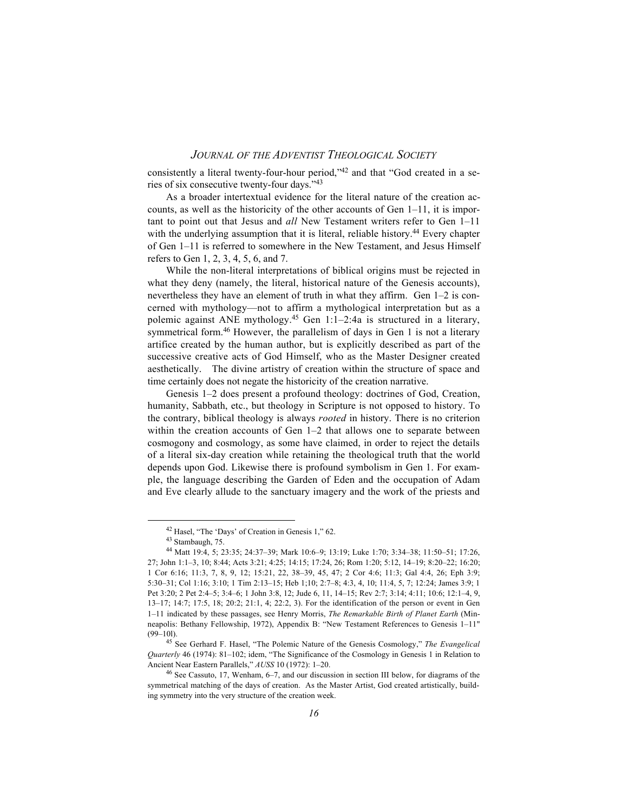consistently a literal twenty-four-hour period,"42 and that "God created in a series of six consecutive twenty-four days."43

As a broader intertextual evidence for the literal nature of the creation accounts, as well as the historicity of the other accounts of Gen 1–11, it is important to point out that Jesus and *all* New Testament writers refer to Gen 1–11 with the underlying assumption that it is literal, reliable history.<sup>44</sup> Every chapter of Gen 1–11 is referred to somewhere in the New Testament, and Jesus Himself refers to Gen 1, 2, 3, 4, 5, 6, and 7.

While the non-literal interpretations of biblical origins must be rejected in what they deny (namely, the literal, historical nature of the Genesis accounts), nevertheless they have an element of truth in what they affirm. Gen 1–2 is concerned with mythology—not to affirm a mythological interpretation but as a polemic against ANE mythology.45 Gen 1:1–2:4a is structured in a literary, symmetrical form.<sup>46</sup> However, the parallelism of days in Gen 1 is not a literary artifice created by the human author, but is explicitly described as part of the successive creative acts of God Himself, who as the Master Designer created aesthetically. The divine artistry of creation within the structure of space and time certainly does not negate the historicity of the creation narrative.

Genesis 1–2 does present a profound theology: doctrines of God, Creation, humanity, Sabbath, etc., but theology in Scripture is not opposed to history. To the contrary, biblical theology is always *rooted* in history. There is no criterion within the creation accounts of Gen  $1-2$  that allows one to separate between cosmogony and cosmology, as some have claimed, in order to reject the details of a literal six-day creation while retaining the theological truth that the world depends upon God. Likewise there is profound symbolism in Gen 1. For example, the language describing the Garden of Eden and the occupation of Adam and Eve clearly allude to the sanctuary imagery and the work of the priests and

42 Hasel, "The 'Days' of Creation in Genesis 1," 62.

<sup>43</sup> Stambaugh, 75.

<sup>44</sup> Matt 19:4, 5; 23:35; 24:37–39; Mark 10:6–9; 13:19; Luke 1:70; 3:34–38; 11:50–51; 17:26, 27; John 1:1–3, 10; 8:44; Acts 3:21; 4:25; 14:15; 17:24, 26; Rom 1:20; 5:12, 14–19; 8:20–22; 16:20; 1 Cor 6:16; 11:3, 7, 8, 9, 12; 15:21, 22, 38–39, 45, 47; 2 Cor 4:6; 11:3; Gal 4:4, 26; Eph 3:9; 5:30–31; Col 1:16; 3:10; 1 Tim 2:13–15; Heb 1;10; 2:7–8; 4:3, 4, 10; 11:4, 5, 7; 12:24; James 3:9; 1 Pet 3:20; 2 Pet 2:4–5; 3:4–6; 1 John 3:8, 12; Jude 6, 11, 14–15; Rev 2:7; 3:14; 4:11; 10:6; 12:1–4, 9, 13–17; 14:7; 17:5, 18; 20:2; 21:1, 4; 22:2, 3). For the identification of the person or event in Gen 1–11 indicated by these passages, see Henry Morris, *The Remarkable Birth of Planet Earth* (Minneapolis: Bethany Fellowship, 1972), Appendix B: "New Testament References to Genesis 1–11" (99–10l).

<sup>45</sup> See Gerhard F. Hasel, "The Polemic Nature of the Genesis Cosmology," *The Evangelical Quarterly* 46 (1974): 81–102; idem, "The Significance of the Cosmology in Genesis 1 in Relation to Ancient Near Eastern Parallels," *AUSS* 10 (1972): 1–20.

<sup>46</sup> See Cassuto, 17, Wenham, 6–7, and our discussion in section III below, for diagrams of the symmetrical matching of the days of creation. As the Master Artist, God created artistically, building symmetry into the very structure of the creation week.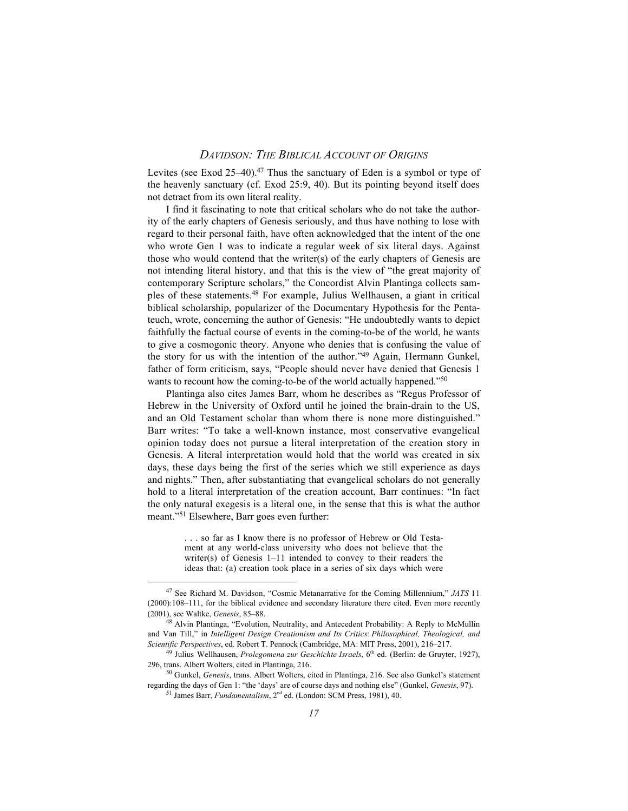Levites (see Exod 25-40).<sup>47</sup> Thus the sanctuary of Eden is a symbol or type of the heavenly sanctuary (cf. Exod 25:9, 40). But its pointing beyond itself does not detract from its own literal reality.

I find it fascinating to note that critical scholars who do not take the authority of the early chapters of Genesis seriously, and thus have nothing to lose with regard to their personal faith, have often acknowledged that the intent of the one who wrote Gen 1 was to indicate a regular week of six literal days. Against those who would contend that the writer(s) of the early chapters of Genesis are not intending literal history, and that this is the view of "the great majority of contemporary Scripture scholars," the Concordist Alvin Plantinga collects samples of these statements.48 For example, Julius Wellhausen, a giant in critical biblical scholarship, popularizer of the Documentary Hypothesis for the Pentateuch, wrote, concerning the author of Genesis: "He undoubtedly wants to depict faithfully the factual course of events in the coming-to-be of the world, he wants to give a cosmogonic theory. Anyone who denies that is confusing the value of the story for us with the intention of the author."<sup>49</sup> Again, Hermann Gunkel, father of form criticism, says, "People should never have denied that Genesis 1 wants to recount how the coming-to-be of the world actually happened."<sup>50</sup>

Plantinga also cites James Barr, whom he describes as "Regus Professor of Hebrew in the University of Oxford until he joined the brain-drain to the US, and an Old Testament scholar than whom there is none more distinguished." Barr writes: "To take a well-known instance, most conservative evangelical opinion today does not pursue a literal interpretation of the creation story in Genesis. A literal interpretation would hold that the world was created in six days, these days being the first of the series which we still experience as days and nights." Then, after substantiating that evangelical scholars do not generally hold to a literal interpretation of the creation account, Barr continues: "In fact the only natural exegesis is a literal one, in the sense that this is what the author meant."51 Elsewhere, Barr goes even further:

> . . . so far as I know there is no professor of Hebrew or Old Testament at any world-class university who does not believe that the writer(s) of Genesis 1–11 intended to convey to their readers the ideas that: (a) creation took place in a series of six days which were

47 See Richard M. Davidson, "Cosmic Metanarrative for the Coming Millennium," *JATS* <sup>11</sup> (2000):108–111, for the biblical evidence and secondary literature there cited. Even more recently (2001), see Waltke, *Genesis*, 85–88.

<sup>48</sup> Alvin Plantinga, "Evolution, Neutrality, and Antecedent Probability: A Reply to McMullin and Van Till," in *Intelligent Design Creationism and Its Critics*: *Philosophical, Theological, and Scientific Perspectives*, ed. Robert T. Pennock (Cambridge, MA: MIT Press, 2001), 216–217.

<sup>49</sup> Julius Wellhausen, *Prolegomena zur Geschichte Israels*, 6th ed. (Berlin: de Gruyter, 1927), 296, trans. Albert Wolters, cited in Plantinga, 216.

<sup>50</sup> Gunkel, *Genesis*, trans. Albert Wolters, cited in Plantinga, 216. See also Gunkel's statement regarding the days of Gen 1: "the 'days' are of course days and nothing else" (Gunkel, *Genesis*, 97). 51 James Barr, *Fundamentalism*, 2nd ed. (London: SCM Press, 1981), 40.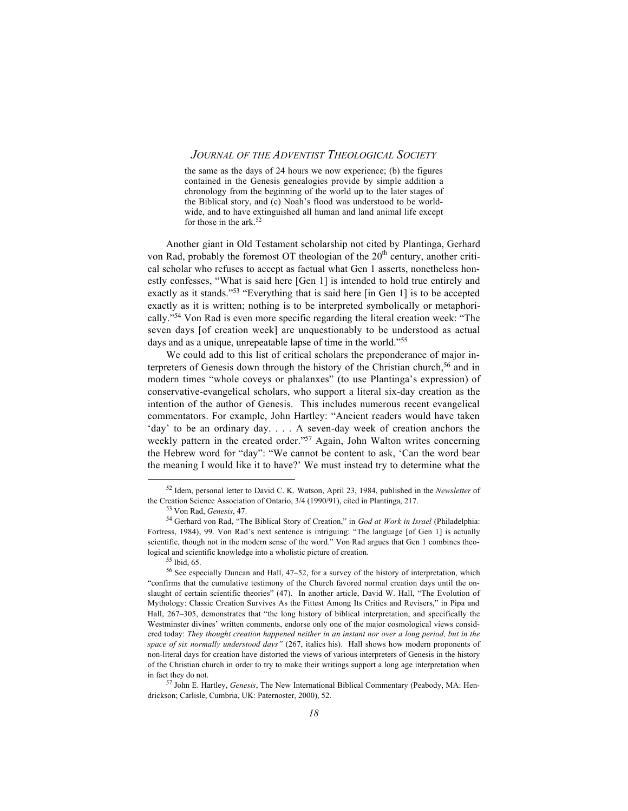the same as the days of 24 hours we now experience; (b) the figures contained in the Genesis genealogies provide by simple addition a chronology from the beginning of the world up to the later stages of the Biblical story, and (c) Noah's flood was understood to be worldwide, and to have extinguished all human and land animal life except for those in the ark.<sup>52</sup>

Another giant in Old Testament scholarship not cited by Plantinga, Gerhard von Rad, probably the foremost OT theologian of the  $20<sup>th</sup>$  century, another critical scholar who refuses to accept as factual what Gen 1 asserts, nonetheless honestly confesses, "What is said here [Gen 1] is intended to hold true entirely and exactly as it stands."53 "Everything that is said here [in Gen 1] is to be accepted exactly as it is written; nothing is to be interpreted symbolically or metaphorically."54 Von Rad is even more specific regarding the literal creation week: "The seven days [of creation week] are unquestionably to be understood as actual days and as a unique, unrepeatable lapse of time in the world."55

We could add to this list of critical scholars the preponderance of major interpreters of Genesis down through the history of the Christian church,<sup>56</sup> and in modern times "whole coveys or phalanxes" (to use Plantinga's expression) of conservative-evangelical scholars, who support a literal six-day creation as the intention of the author of Genesis. This includes numerous recent evangelical commentators. For example, John Hartley: "Ancient readers would have taken 'day' to be an ordinary day. . . . A seven-day week of creation anchors the weekly pattern in the created order."<sup>57</sup> Again, John Walton writes concerning the Hebrew word for "day": "We cannot be content to ask, 'Can the word bear the meaning I would like it to have?' We must instead try to determine what the

52 Idem, personal letter to David C. K. Watson, April 23, 1984, published in the *Newsletter* of the Creation Science Association of Ontario, 3/4 (1990/91), cited in Plantinga, 217.

<sup>53</sup> Von Rad, *Genesis*, 47.

<sup>54</sup> Gerhard von Rad, "The Biblical Story of Creation," in *God at Work in Israel* (Philadelphia: Fortress, 1984), 99. Von Rad's next sentence is intriguing: "The language [of Gen 1] is actually scientific, though not in the modern sense of the word." Von Rad argues that Gen 1 combines theological and scientific knowledge into a wholistic picture of creation.

<sup>55</sup> Ibid, 65.

<sup>56</sup> See especially Duncan and Hall, 47–52, for a survey of the history of interpretation, which "confirms that the cumulative testimony of the Church favored normal creation days until the onslaught of certain scientific theories" (47). In another article, David W. Hall, "The Evolution of Mythology: Classic Creation Survives As the Fittest Among Its Critics and Revisers," in Pipa and Hall, 267–305, demonstrates that "the long history of biblical interpretation, and specifically the Westminster divines' written comments, endorse only one of the major cosmological views considered today: *They thought creation happened neither in an instant nor over a long period, but in the space of six normally understood days"* (267, italics his). Hall shows how modern proponents of non-literal days for creation have distorted the views of various interpreters of Genesis in the history of the Christian church in order to try to make their writings support a long age interpretation when in fact they do not.

<sup>57</sup> John E. Hartley, *Genesis*, The New International Biblical Commentary (Peabody, MA: Hendrickson; Carlisle, Cumbria, UK: Paternoster, 2000), 52.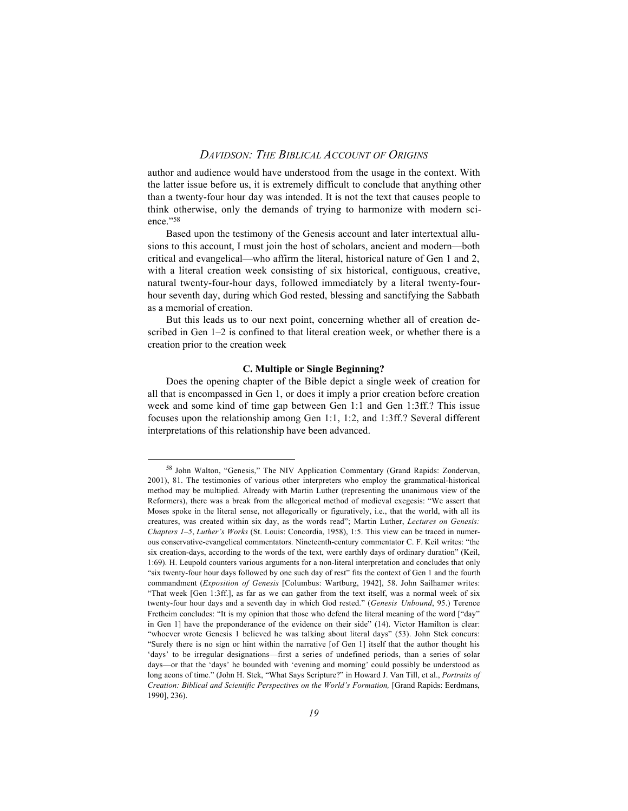author and audience would have understood from the usage in the context. With the latter issue before us, it is extremely difficult to conclude that anything other than a twenty-four hour day was intended. It is not the text that causes people to think otherwise, only the demands of trying to harmonize with modern science."58

Based upon the testimony of the Genesis account and later intertextual allusions to this account, I must join the host of scholars, ancient and modern—both critical and evangelical—who affirm the literal, historical nature of Gen 1 and 2, with a literal creation week consisting of six historical, contiguous, creative, natural twenty-four-hour days, followed immediately by a literal twenty-fourhour seventh day, during which God rested, blessing and sanctifying the Sabbath as a memorial of creation.

But this leads us to our next point, concerning whether all of creation described in Gen 1–2 is confined to that literal creation week, or whether there is a creation prior to the creation week

#### **C. Multiple or Single Beginning?**

Does the opening chapter of the Bible depict a single week of creation for all that is encompassed in Gen 1, or does it imply a prior creation before creation week and some kind of time gap between Gen 1:1 and Gen 1:3ff.? This issue focuses upon the relationship among Gen 1:1, 1:2, and 1:3ff.? Several different interpretations of this relationship have been advanced.

<sup>58</sup> John Walton, "Genesis," The NIV Application Commentary (Grand Rapids: Zondervan, 2001), 81. The testimonies of various other interpreters who employ the grammatical-historical method may be multiplied. Already with Martin Luther (representing the unanimous view of the Reformers), there was a break from the allegorical method of medieval exegesis: "We assert that Moses spoke in the literal sense, not allegorically or figuratively, i.e., that the world, with all its creatures, was created within six day, as the words read"; Martin Luther, *Lectures on Genesis: Chapters 1–5*, *Luther's Works* (St. Louis: Concordia, 1958), 1:5. This view can be traced in numerous conservative-evangelical commentators. Nineteenth-century commentator C. F. Keil writes: "the six creation-days, according to the words of the text, were earthly days of ordinary duration" (Keil, 1:69). H. Leupold counters various arguments for a non-literal interpretation and concludes that only "six twenty-four hour days followed by one such day of rest" fits the context of Gen 1 and the fourth commandment (*Exposition of Genesis* [Columbus: Wartburg, 1942], 58. John Sailhamer writes: "That week [Gen 1:3ff.], as far as we can gather from the text itself, was a normal week of six twenty-four hour days and a seventh day in which God rested." (*Genesis Unbound*, 95.) Terence Fretheim concludes: "It is my opinion that those who defend the literal meaning of the word ["day" in Gen 1] have the preponderance of the evidence on their side" (14). Victor Hamilton is clear: "whoever wrote Genesis 1 believed he was talking about literal days" (53). John Stek concurs: "Surely there is no sign or hint within the narrative [of Gen 1] itself that the author thought his 'days' to be irregular designations—first a series of undefined periods, than a series of solar days—or that the 'days' he bounded with 'evening and morning' could possibly be understood as long aeons of time." (John H. Stek, "What Says Scripture?" in Howard J. Van Till, et al., *Portraits of Creation: Biblical and Scientific Perspectives on the World's Formation,* [Grand Rapids: Eerdmans, 1990], 236).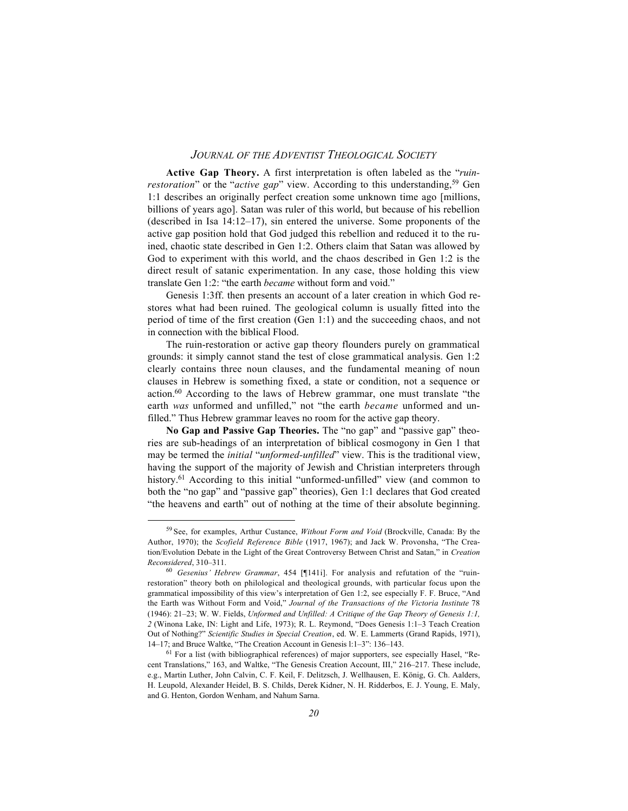**Active Gap Theory.** A first interpretation is often labeled as the "*ruinrestoration*" or the "*active gap*" view. According to this understanding,<sup>59</sup> Gen 1:1 describes an originally perfect creation some unknown time ago [millions, billions of years ago]. Satan was ruler of this world, but because of his rebellion (described in Isa 14:12–17), sin entered the universe. Some proponents of the active gap position hold that God judged this rebellion and reduced it to the ruined, chaotic state described in Gen 1:2. Others claim that Satan was allowed by God to experiment with this world, and the chaos described in Gen 1:2 is the direct result of satanic experimentation. In any case, those holding this view translate Gen 1:2: "the earth *became* without form and void."

Genesis 1:3ff. then presents an account of a later creation in which God restores what had been ruined. The geological column is usually fitted into the period of time of the first creation (Gen 1:1) and the succeeding chaos, and not in connection with the biblical Flood.

The ruin-restoration or active gap theory flounders purely on grammatical grounds: it simply cannot stand the test of close grammatical analysis. Gen 1:2 clearly contains three noun clauses, and the fundamental meaning of noun clauses in Hebrew is something fixed, a state or condition, not a sequence or action.60 According to the laws of Hebrew grammar, one must translate "the earth *was* unformed and unfilled," not "the earth *became* unformed and unfilled." Thus Hebrew grammar leaves no room for the active gap theory.

**No Gap and Passive Gap Theories.** The "no gap" and "passive gap" theories are sub-headings of an interpretation of biblical cosmogony in Gen 1 that may be termed the *initial* "*unformed-unfilled*" view. This is the traditional view, having the support of the majority of Jewish and Christian interpreters through history.<sup>61</sup> According to this initial "unformed-unfilled" view (and common to both the "no gap" and "passive gap" theories), Gen 1:1 declares that God created "the heavens and earth" out of nothing at the time of their absolute beginning.

<sup>59</sup> See, for examples, Arthur Custance, *Without Form and Void* (Brockville, Canada: By the Author, 1970); the *Scofield Reference Bible* (1917, 1967); and Jack W. Provonsha, "The Creation/Evolution Debate in the Light of the Great Controversy Between Christ and Satan," in *Creation Reconsidered*, 310–311.

<sup>60</sup> *Gesenius' Hebrew Grammar*, 454 [¶141i]. For analysis and refutation of the "ruinrestoration" theory both on philological and theological grounds, with particular focus upon the grammatical impossibility of this view's interpretation of Gen 1:2, see especially F. F. Bruce, "And the Earth was Without Form and Void," *Journal of the Transactions of the Victoria Institute* 78 (1946): 21–23; W. W. Fields, *Unformed and Unfilled: A Critique of the Gap Theory of Genesis 1:1, 2* (Winona Lake, IN: Light and Life, 1973); R. L. Reymond, "Does Genesis 1:1–3 Teach Creation Out of Nothing?" *Scientific Studies in Special Creation*, ed. W. E. Lammerts (Grand Rapids, 1971), 14–17; and Bruce Waltke, "The Creation Account in Genesis l:1–3": 136–143.

 $<sup>61</sup>$  For a list (with bibliographical references) of major supporters, see especially Hasel, "Re-</sup> cent Translations," 163, and Waltke, "The Genesis Creation Account, III," 216–217. These include, e.g., Martin Luther, John Calvin, C. F. Keil, F. Delitzsch, J. Wellhausen, E. König, G. Ch. Aalders, H. Leupold, Alexander Heidel, B. S. Childs, Derek Kidner, N. H. Ridderbos, E. J. Young, E. Maly, and G. Henton, Gordon Wenham, and Nahum Sarna.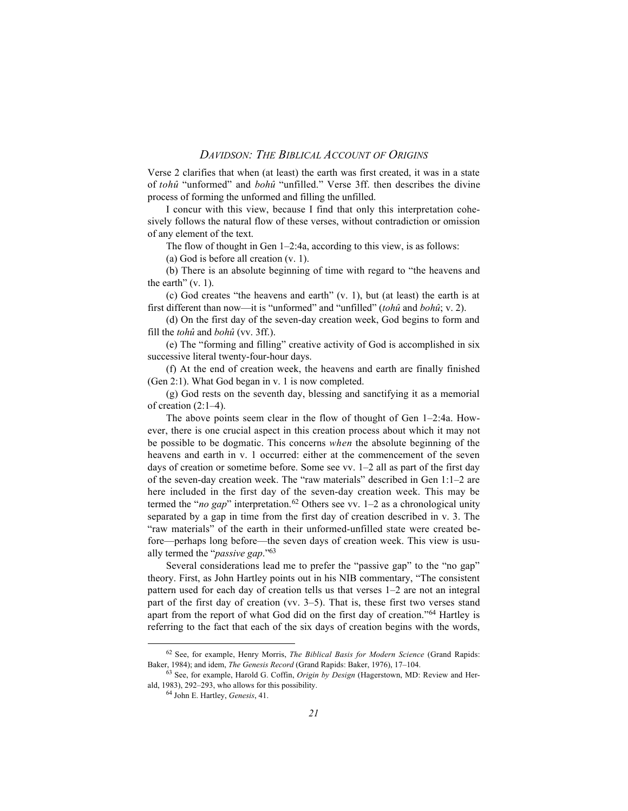Verse 2 clarifies that when (at least) the earth was first created, it was in a state of *tohû* "unformed" and *bohû* "unfilled." Verse 3ff. then describes the divine process of forming the unformed and filling the unfilled.

I concur with this view, because I find that only this interpretation cohesively follows the natural flow of these verses, without contradiction or omission of any element of the text.

The flow of thought in Gen 1–2:4a, according to this view, is as follows:

(a) God is before all creation (v. 1).

(b) There is an absolute beginning of time with regard to "the heavens and the earth"  $(v, 1)$ .

(c) God creates "the heavens and earth" (v. 1), but (at least) the earth is at first different than now—it is "unformed" and "unfilled" (*tohû* and *bohû*; v. 2).

(d) On the first day of the seven-day creation week, God begins to form and fill the *tohû* and *bohû* (vv. 3ff.).

(e) The "forming and filling" creative activity of God is accomplished in six successive literal twenty-four-hour days.

(f) At the end of creation week, the heavens and earth are finally finished (Gen 2:1). What God began in v. 1 is now completed.

(g) God rests on the seventh day, blessing and sanctifying it as a memorial of creation (2:1–4).

The above points seem clear in the flow of thought of Gen 1–2:4a. However, there is one crucial aspect in this creation process about which it may not be possible to be dogmatic. This concerns *when* the absolute beginning of the heavens and earth in v. 1 occurred: either at the commencement of the seven days of creation or sometime before. Some see vv. 1–2 all as part of the first day of the seven-day creation week. The "raw materials" described in Gen 1:1–2 are here included in the first day of the seven-day creation week. This may be termed the "*no gap*" interpretation.<sup>62</sup> Others see vv.  $1-2$  as a chronological unity separated by a gap in time from the first day of creation described in v. 3. The "raw materials" of the earth in their unformed-unfilled state were created before—perhaps long before—the seven days of creation week. This view is usually termed the "*passive gap*."63

Several considerations lead me to prefer the "passive gap" to the "no gap" theory. First, as John Hartley points out in his NIB commentary, "The consistent pattern used for each day of creation tells us that verses 1–2 are not an integral part of the first day of creation (vv. 3–5). That is, these first two verses stand apart from the report of what God did on the first day of creation."64 Hartley is referring to the fact that each of the six days of creation begins with the words,

62 See, for example, Henry Morris, *The Biblical Basis for Modern Science* (Grand Rapids: Baker, 1984); and idem, *The Genesis Record* (Grand Rapids: Baker, 1976), 17–104.

<sup>63</sup> See, for example, Harold G. Coffin, *Origin by Design* (Hagerstown, MD: Review and Herald, 1983), 292–293, who allows for this possibility.

<sup>64</sup> John E. Hartley, *Genesis*, 41.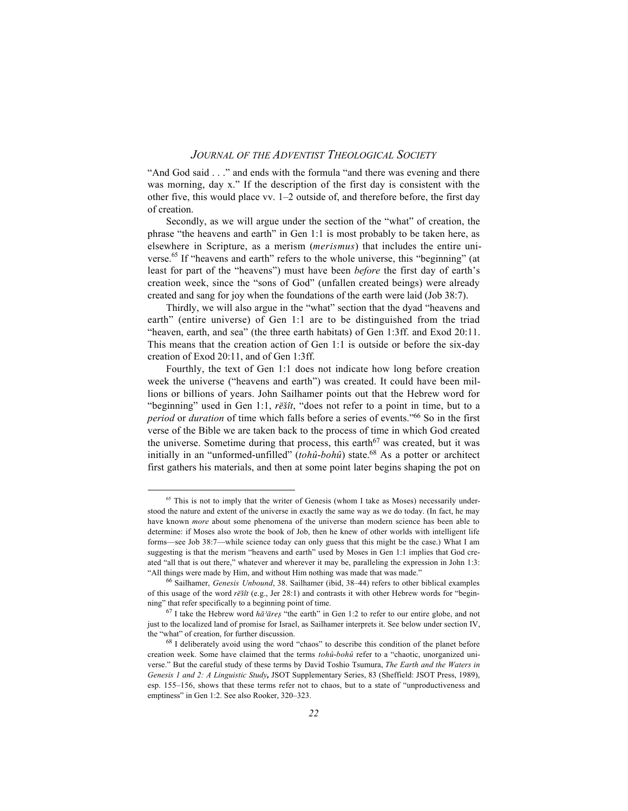"And God said . . ." and ends with the formula "and there was evening and there was morning, day x." If the description of the first day is consistent with the other five, this would place vv. 1–2 outside of, and therefore before, the first day of creation.

Secondly, as we will argue under the section of the "what" of creation, the phrase "the heavens and earth" in Gen 1:1 is most probably to be taken here, as elsewhere in Scripture, as a merism (*merismus*) that includes the entire universe.<sup>65</sup> If "heavens and earth" refers to the whole universe, this "beginning" (at least for part of the "heavens") must have been *before* the first day of earth's creation week, since the "sons of God" (unfallen created beings) were already created and sang for joy when the foundations of the earth were laid (Job 38:7).

Thirdly, we will also argue in the "what" section that the dyad "heavens and earth" (entire universe) of Gen 1:1 are to be distinguished from the triad "heaven, earth, and sea" (the three earth habitats) of Gen 1:3ff. and Exod 20:11. This means that the creation action of Gen 1:1 is outside or before the six-day creation of Exod 20:11, and of Gen 1:3ff.

Fourthly, the text of Gen 1:1 does not indicate how long before creation week the universe ("heavens and earth") was created. It could have been millions or billions of years. John Sailhamer points out that the Hebrew word for "beginning" used in Gen 1:1,  $r\bar{e}\s{s}\hat{i}t$ , "does not refer to a point in time, but to a *period* or *duration* of time which falls before a series of events."<sup>66</sup> So in the first verse of the Bible we are taken back to the process of time in which God created the universe. Sometime during that process, this earth<sup>67</sup> was created, but it was initially in an "unformed-unfilled" (*tohû-bohû*) state.<sup>68</sup> As a potter or architect first gathers his materials, and then at some point later begins shaping the pot on

<sup>&</sup>lt;sup>65</sup> This is not to imply that the writer of Genesis (whom I take as Moses) necessarily understood the nature and extent of the universe in exactly the same way as we do today. (In fact, he may have known *more* about some phenomena of the universe than modern science has been able to determine: if Moses also wrote the book of Job, then he knew of other worlds with intelligent life forms—see Job 38:7—while science today can only guess that this might be the case.) What I am suggesting is that the merism "heavens and earth" used by Moses in Gen 1:1 implies that God created "all that is out there," whatever and wherever it may be, paralleling the expression in John 1:3: "All things were made by Him, and without Him nothing was made that was made."

<sup>66</sup> Sailhamer, *Genesis Unbound*, 38. Sailhamer (ibid, 38–44) refers to other biblical examples of this usage of the word  $r\bar{e}\tilde{s}\tilde{t}t$  (e.g., Jer 28:1) and contrasts it with other Hebrew words for "beginning" that refer specifically to a beginning point of time.

<sup>&</sup>lt;sup>67</sup> I take the Hebrew word *hā<sup>2</sup>āres* "the earth" in Gen 1:2 to refer to our entire globe, and not just to the localized land of promise for Israel, as Sailhamer interprets it. See below under section IV, the "what" of creation, for further discussion.

<sup>68</sup> I deliberately avoid using the word "chaos" to describe this condition of the planet before creation week. Some have claimed that the terms *tohû*-*bohû* refer to a "chaotic, unorganized universe." But the careful study of these terms by David Toshio Tsumura, *The Earth and the Waters in Genesis 1 and 2: A Linguistic Study,* JSOT Supplementary Series, 83 (Sheffield: JSOT Press, 1989), esp. 155–156, shows that these terms refer not to chaos, but to a state of "unproductiveness and emptiness" in Gen 1:2. See also Rooker, 320–323.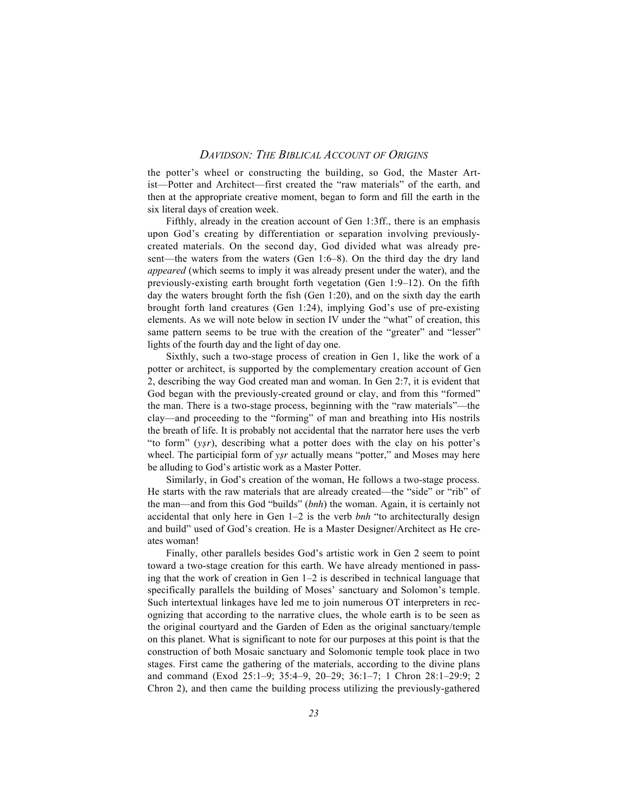the potter's wheel or constructing the building, so God, the Master Artist—Potter and Architect—first created the "raw materials" of the earth, and then at the appropriate creative moment, began to form and fill the earth in the six literal days of creation week.

Fifthly, already in the creation account of Gen 1:3ff., there is an emphasis upon God's creating by differentiation or separation involving previouslycreated materials. On the second day, God divided what was already present—the waters from the waters (Gen 1:6–8). On the third day the dry land *appeared* (which seems to imply it was already present under the water), and the previously-existing earth brought forth vegetation (Gen 1:9–12). On the fifth day the waters brought forth the fish (Gen 1:20), and on the sixth day the earth brought forth land creatures (Gen 1:24), implying God's use of pre-existing elements. As we will note below in section IV under the "what" of creation, this same pattern seems to be true with the creation of the "greater" and "lesser" lights of the fourth day and the light of day one.

Sixthly, such a two-stage process of creation in Gen 1, like the work of a potter or architect, is supported by the complementary creation account of Gen 2, describing the way God created man and woman. In Gen 2:7, it is evident that God began with the previously-created ground or clay, and from this "formed" the man. There is a two-stage process, beginning with the "raw materials"—the clay—and proceeding to the "forming" of man and breathing into His nostrils the breath of life. It is probably not accidental that the narrator here uses the verb "to form" (*ysr*), describing what a potter does with the clay on his potter's wheel. The participial form of *ysr* actually means "potter," and Moses may here be alluding to God's artistic work as a Master Potter.

Similarly, in God's creation of the woman, He follows a two-stage process. He starts with the raw materials that are already created—the "side" or "rib" of the man—and from this God "builds" (*bnh*) the woman. Again, it is certainly not accidental that only here in Gen 1–2 is the verb *bnh* "to architecturally design and build" used of God's creation. He is a Master Designer/Architect as He creates woman!

Finally, other parallels besides God's artistic work in Gen 2 seem to point toward a two-stage creation for this earth. We have already mentioned in passing that the work of creation in Gen 1–2 is described in technical language that specifically parallels the building of Moses' sanctuary and Solomon's temple. Such intertextual linkages have led me to join numerous OT interpreters in recognizing that according to the narrative clues, the whole earth is to be seen as the original courtyard and the Garden of Eden as the original sanctuary/temple on this planet. What is significant to note for our purposes at this point is that the construction of both Mosaic sanctuary and Solomonic temple took place in two stages. First came the gathering of the materials, according to the divine plans and command (Exod 25:1–9; 35:4–9, 20–29; 36:1–7; 1 Chron 28:1–29:9; 2 Chron 2), and then came the building process utilizing the previously-gathered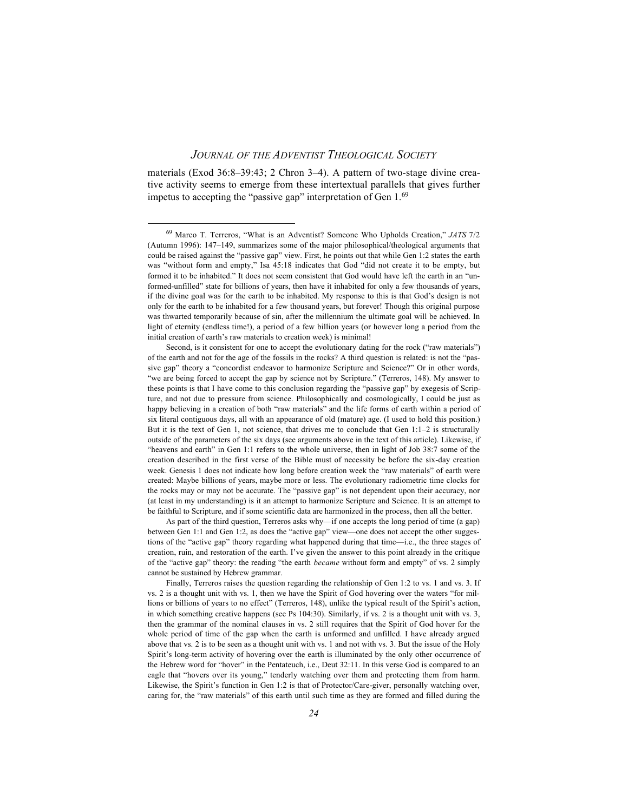materials (Exod 36:8–39:43; 2 Chron 3–4). A pattern of two-stage divine creative activity seems to emerge from these intertextual parallels that gives further impetus to accepting the "passive gap" interpretation of Gen 1.69

As part of the third question, Terreros asks why—if one accepts the long period of time (a gap) between Gen 1:1 and Gen 1:2, as does the "active gap" view—one does not accept the other suggestions of the "active gap" theory regarding what happened during that time—i.e., the three stages of creation, ruin, and restoration of the earth. I've given the answer to this point already in the critique of the "active gap" theory: the reading "the earth *became* without form and empty" of vs. 2 simply cannot be sustained by Hebrew grammar.

Finally, Terreros raises the question regarding the relationship of Gen 1:2 to vs. 1 and vs. 3. If vs. 2 is a thought unit with vs. 1, then we have the Spirit of God hovering over the waters "for millions or billions of years to no effect" (Terreros, 148), unlike the typical result of the Spirit's action, in which something creative happens (see Ps 104:30). Similarly, if vs. 2 is a thought unit with vs. 3, then the grammar of the nominal clauses in vs. 2 still requires that the Spirit of God hover for the whole period of time of the gap when the earth is unformed and unfilled. I have already argued above that vs. 2 is to be seen as a thought unit with vs. 1 and not with vs. 3. But the issue of the Holy Spirit's long-term activity of hovering over the earth is illuminated by the only other occurrence of the Hebrew word for "hover" in the Pentateuch, i.e., Deut 32:11. In this verse God is compared to an eagle that "hovers over its young," tenderly watching over them and protecting them from harm. Likewise, the Spirit's function in Gen 1:2 is that of Protector/Care-giver, personally watching over, caring for, the "raw materials" of this earth until such time as they are formed and filled during the

69 Marco T. Terreros, "What is an Adventist? Someone Who Upholds Creation," *JATS* 7/2 (Autumn 1996): 147–149, summarizes some of the major philosophical/theological arguments that could be raised against the "passive gap" view. First, he points out that while Gen 1:2 states the earth was "without form and empty," Isa 45:18 indicates that God "did not create it to be empty, but formed it to be inhabited." It does not seem consistent that God would have left the earth in an "unformed-unfilled" state for billions of years, then have it inhabited for only a few thousands of years, if the divine goal was for the earth to be inhabited. My response to this is that God's design is not only for the earth to be inhabited for a few thousand years, but forever! Though this original purpose was thwarted temporarily because of sin, after the millennium the ultimate goal will be achieved. In light of eternity (endless time!), a period of a few billion years (or however long a period from the initial creation of earth's raw materials to creation week) is minimal!

Second, is it consistent for one to accept the evolutionary dating for the rock ("raw materials") of the earth and not for the age of the fossils in the rocks? A third question is related: is not the "passive gap" theory a "concordist endeavor to harmonize Scripture and Science?" Or in other words, "we are being forced to accept the gap by science not by Scripture." (Terreros, 148). My answer to these points is that I have come to this conclusion regarding the "passive gap" by exegesis of Scripture, and not due to pressure from science. Philosophically and cosmologically, I could be just as happy believing in a creation of both "raw materials" and the life forms of earth within a period of six literal contiguous days, all with an appearance of old (mature) age. (I used to hold this position.) But it is the text of Gen 1, not science, that drives me to conclude that Gen 1:1–2 is structurally outside of the parameters of the six days (see arguments above in the text of this article). Likewise, if "heavens and earth" in Gen 1:1 refers to the whole universe, then in light of Job 38:7 some of the creation described in the first verse of the Bible must of necessity be before the six-day creation week. Genesis 1 does not indicate how long before creation week the "raw materials" of earth were created: Maybe billions of years, maybe more or less. The evolutionary radiometric time clocks for the rocks may or may not be accurate. The "passive gap" is not dependent upon their accuracy, nor (at least in my understanding) is it an attempt to harmonize Scripture and Science. It is an attempt to be faithful to Scripture, and if some scientific data are harmonized in the process, then all the better.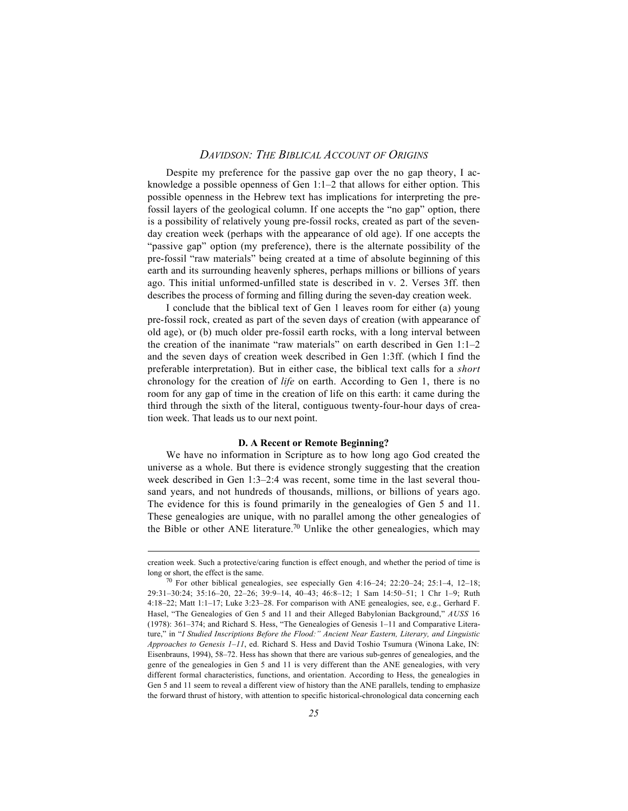Despite my preference for the passive gap over the no gap theory, I acknowledge a possible openness of Gen 1:1–2 that allows for either option. This possible openness in the Hebrew text has implications for interpreting the prefossil layers of the geological column. If one accepts the "no gap" option, there is a possibility of relatively young pre-fossil rocks, created as part of the sevenday creation week (perhaps with the appearance of old age). If one accepts the "passive gap" option (my preference), there is the alternate possibility of the pre-fossil "raw materials" being created at a time of absolute beginning of this earth and its surrounding heavenly spheres, perhaps millions or billions of years ago. This initial unformed-unfilled state is described in v. 2. Verses 3ff. then describes the process of forming and filling during the seven-day creation week.

I conclude that the biblical text of Gen 1 leaves room for either (a) young pre-fossil rock, created as part of the seven days of creation (with appearance of old age), or (b) much older pre-fossil earth rocks, with a long interval between the creation of the inanimate "raw materials" on earth described in Gen 1:1–2 and the seven days of creation week described in Gen 1:3ff. (which I find the preferable interpretation). But in either case, the biblical text calls for a *short* chronology for the creation of *life* on earth. According to Gen 1, there is no room for any gap of time in the creation of life on this earth: it came during the third through the sixth of the literal, contiguous twenty-four-hour days of creation week. That leads us to our next point.

#### **D. A Recent or Remote Beginning?**

We have no information in Scripture as to how long ago God created the universe as a whole. But there is evidence strongly suggesting that the creation week described in Gen 1:3–2:4 was recent, some time in the last several thousand years, and not hundreds of thousands, millions, or billions of years ago. The evidence for this is found primarily in the genealogies of Gen 5 and 11. These genealogies are unique, with no parallel among the other genealogies of the Bible or other ANE literature.<sup>70</sup> Unlike the other genealogies, which may

 $\overline{a}$ 

creation week. Such a protective/caring function is effect enough, and whether the period of time is long or short, the effect is the same.

<sup>70</sup> For other biblical genealogies, see especially Gen 4:16–24; 22:20–24; 25:1–4, 12–18; 29:31–30:24; 35:16–20, 22–26; 39:9–14, 40–43; 46:8–12; 1 Sam 14:50–51; 1 Chr 1–9; Ruth 4:18–22; Matt 1:1–17; Luke 3:23–28. For comparison with ANE genealogies, see, e.g., Gerhard F. Hasel, "The Genealogies of Gen 5 and 11 and their Alleged Babylonian Background," *AUSS* 16 (1978): 361–374; and Richard S. Hess, "The Genealogies of Genesis 1–11 and Comparative Literature," in "*I Studied Inscriptions Before the Flood:" Ancient Near Eastern, Literary, and Linguistic Approaches to Genesis 1–11*, ed. Richard S. Hess and David Toshio Tsumura (Winona Lake, IN: Eisenbrauns, 1994), 58–72. Hess has shown that there are various sub-genres of genealogies, and the genre of the genealogies in Gen 5 and 11 is very different than the ANE genealogies, with very different formal characteristics, functions, and orientation. According to Hess, the genealogies in Gen 5 and 11 seem to reveal a different view of history than the ANE parallels, tending to emphasize the forward thrust of history, with attention to specific historical-chronological data concerning each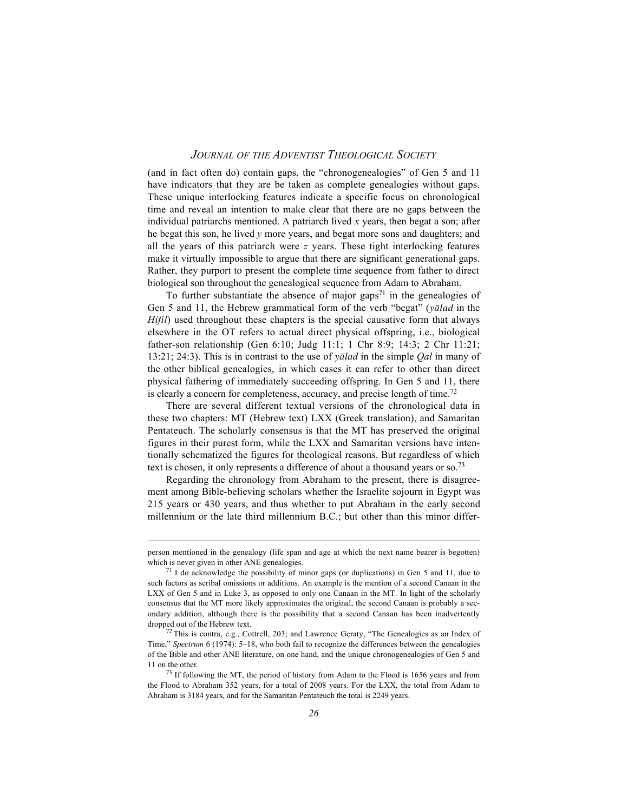(and in fact often do) contain gaps, the "chronogenealogies" of Gen 5 and 11 have indicators that they are be taken as complete genealogies without gaps. These unique interlocking features indicate a specific focus on chronological time and reveal an intention to make clear that there are no gaps between the individual patriarchs mentioned. A patriarch lived *x* years, then begat a son; after he begat this son, he lived *y* more years, and begat more sons and daughters; and all the years of this patriarch were *z* years. These tight interlocking features make it virtually impossible to argue that there are significant generational gaps. Rather, they purport to present the complete time sequence from father to direct biological son throughout the genealogical sequence from Adam to Abraham.

To further substantiate the absence of major gaps<sup>71</sup> in the genealogies of Gen 5 and 11, the Hebrew grammatical form of the verb "begat" (*yalad* in the *Hifil*) used throughout these chapters is the special causative form that always elsewhere in the OT refers to actual direct physical offspring, i.e., biological father-son relationship (Gen 6:10; Judg 11:1; 1 Chr 8:9; 14:3; 2 Chr 11:21; 13:21; 24:3). This is in contrast to the use of *yaœlad* in the simple *Qal* in many of the other biblical genealogies, in which cases it can refer to other than direct physical fathering of immediately succeeding offspring. In Gen 5 and 11, there is clearly a concern for completeness, accuracy, and precise length of time.<sup>72</sup>

There are several different textual versions of the chronological data in these two chapters: MT (Hebrew text) LXX (Greek translation), and Samaritan Pentateuch. The scholarly consensus is that the MT has preserved the original figures in their purest form, while the LXX and Samaritan versions have intentionally schematized the figures for theological reasons. But regardless of which text is chosen, it only represents a difference of about a thousand years or so.<sup>73</sup>

Regarding the chronology from Abraham to the present, there is disagreement among Bible-believing scholars whether the Israelite sojourn in Egypt was 215 years or 430 years, and thus whether to put Abraham in the early second millennium or the late third millennium B.C.; but other than this minor differ-

 $\overline{a}$ 

person mentioned in the genealogy (life span and age at which the next name bearer is begotten) which is never given in other ANE genealogies.

<sup>71</sup> I do acknowledge the possibility of minor gaps (or duplications) in Gen 5 and 11, due to such factors as scribal omissions or additions. An example is the mention of a second Canaan in the LXX of Gen 5 and in Luke 3, as opposed to only one Canaan in the MT. In light of the scholarly consensus that the MT more likely approximates the original, the second Canaan is probably a secondary addition, although there is the possibility that a second Canaan has been inadvertently dropped out of the Hebrew text.

 $72$  This is contra, e.g., Cottrell, 203; and Lawrence Geraty, "The Genealogies as an Index of Time," *Spectrum* 6 (1974): 5–18, who both fail to recognize the differences between the genealogies of the Bible and other ANE literature, on one hand, and the unique chronogenealogies of Gen 5 and 11 on the other.

<sup>73</sup> If following the MT, the period of history from Adam to the Flood is 1656 years and from the Flood to Abraham 352 years, for a total of 2008 years. For the LXX, the total from Adam to Abraham is 3184 years, and for the Samaritan Pentateuch the total is 2249 years.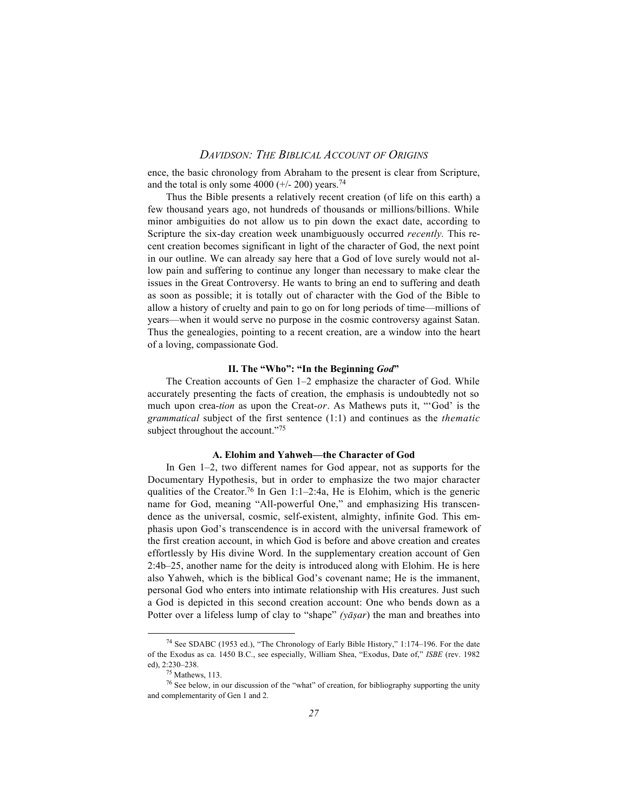ence, the basic chronology from Abraham to the present is clear from Scripture, and the total is only some  $4000 (+/- 200)$  years.<sup>74</sup>

Thus the Bible presents a relatively recent creation (of life on this earth) a few thousand years ago, not hundreds of thousands or millions/billions. While minor ambiguities do not allow us to pin down the exact date, according to Scripture the six-day creation week unambiguously occurred *recently.* This recent creation becomes significant in light of the character of God, the next point in our outline. We can already say here that a God of love surely would not allow pain and suffering to continue any longer than necessary to make clear the issues in the Great Controversy. He wants to bring an end to suffering and death as soon as possible; it is totally out of character with the God of the Bible to allow a history of cruelty and pain to go on for long periods of time—millions of years—when it would serve no purpose in the cosmic controversy against Satan. Thus the genealogies, pointing to a recent creation, are a window into the heart of a loving, compassionate God.

#### **II. The "Who": "In the Beginning** *God***"**

The Creation accounts of Gen 1–2 emphasize the character of God. While accurately presenting the facts of creation, the emphasis is undoubtedly not so much upon crea-*tion* as upon the Creat-*or*. As Mathews puts it, "'God' is the *grammatical* subject of the first sentence (1:1) and continues as the *thematic* subject throughout the account."<sup>75</sup>

# **A. Elohim and Yahweh—the Character of God**

In Gen 1–2, two different names for God appear, not as supports for the Documentary Hypothesis, but in order to emphasize the two major character qualities of the Creator.<sup>76</sup> In Gen 1:1–2:4a, He is Elohim, which is the generic name for God, meaning "All-powerful One," and emphasizing His transcendence as the universal, cosmic, self-existent, almighty, infinite God. This emphasis upon God's transcendence is in accord with the universal framework of the first creation account, in which God is before and above creation and creates effortlessly by His divine Word. In the supplementary creation account of Gen 2:4b–25, another name for the deity is introduced along with Elohim. He is here also Yahweh, which is the biblical God's covenant name; He is the immanent, personal God who enters into intimate relationship with His creatures. Just such a God is depicted in this second creation account: One who bends down as a Potter over a lifeless lump of clay to "shape" *(yāşar*) the man and breathes into

74 See SDABC (1953 ed.), "The Chronology of Early Bible History," 1:174–196. For the date of the Exodus as ca. 1450 B.C., see especially, William Shea, "Exodus, Date of," *ISBE* (rev. 1982 ed), 2:230–238.

<sup>75</sup> Mathews, 113.

<sup>76</sup> See below, in our discussion of the "what" of creation, for bibliography supporting the unity and complementarity of Gen 1 and 2.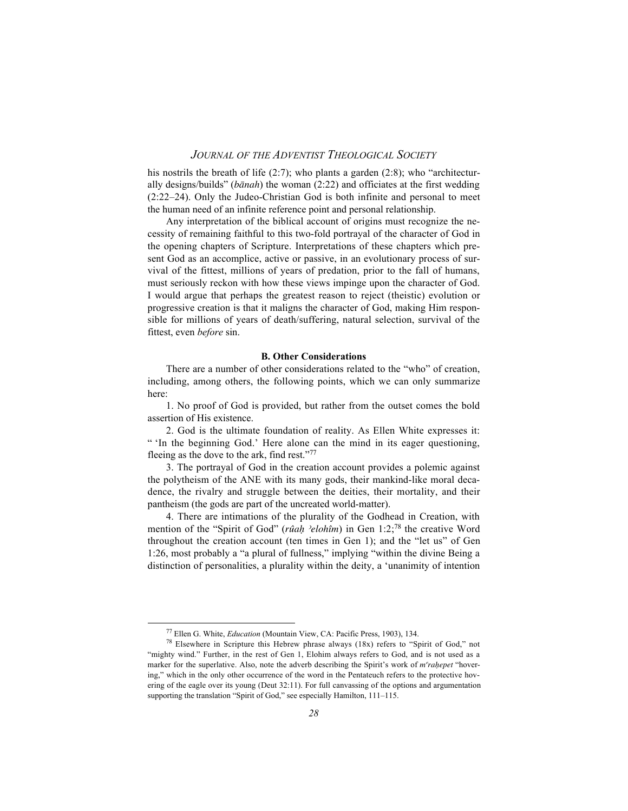his nostrils the breath of life  $(2:7)$ ; who plants a garden  $(2:8)$ ; who "architecturally designs/builds" (*bānah*) the woman (2:22) and officiates at the first wedding (2:22–24). Only the Judeo-Christian God is both infinite and personal to meet the human need of an infinite reference point and personal relationship.

Any interpretation of the biblical account of origins must recognize the necessity of remaining faithful to this two-fold portrayal of the character of God in the opening chapters of Scripture. Interpretations of these chapters which present God as an accomplice, active or passive, in an evolutionary process of survival of the fittest, millions of years of predation, prior to the fall of humans, must seriously reckon with how these views impinge upon the character of God. I would argue that perhaps the greatest reason to reject (theistic) evolution or progressive creation is that it maligns the character of God, making Him responsible for millions of years of death/suffering, natural selection, survival of the fittest, even *before* sin.

#### **B. Other Considerations**

There are a number of other considerations related to the "who" of creation, including, among others, the following points, which we can only summarize here:

1. No proof of God is provided, but rather from the outset comes the bold assertion of His existence.

2. God is the ultimate foundation of reality. As Ellen White expresses it: " 'In the beginning God.' Here alone can the mind in its eager questioning, fleeing as the dove to the ark, find rest."77

3. The portrayal of God in the creation account provides a polemic against the polytheism of the ANE with its many gods, their mankind-like moral decadence, the rivalry and struggle between the deities, their mortality, and their pantheism (the gods are part of the uncreated world-matter).

4. There are intimations of the plurality of the Godhead in Creation, with mention of the "Spirit of God" (*rûah 'elohîm*) in Gen 1:2;<sup>78</sup> the creative Word throughout the creation account (ten times in Gen 1); and the "let us" of Gen 1:26, most probably a "a plural of fullness," implying "within the divine Being a distinction of personalities, a plurality within the deity, a 'unanimity of intention

77 Ellen G. White, *Education* (Mountain View, CA: Pacific Press, 1903), 134.

 $78$  Elsewhere in Scripture this Hebrew phrase always (18x) refers to "Spirit of God," not "mighty wind." Further, in the rest of Gen 1, Elohim always refers to God, and is not used as a marker for the superlative. Also, note the adverb describing the Spirit's work of *m*<sup>*erahepet* "hover-</sup> ing," which in the only other occurrence of the word in the Pentateuch refers to the protective hovering of the eagle over its young (Deut 32:11). For full canvassing of the options and argumentation supporting the translation "Spirit of God," see especially Hamilton, 111–115.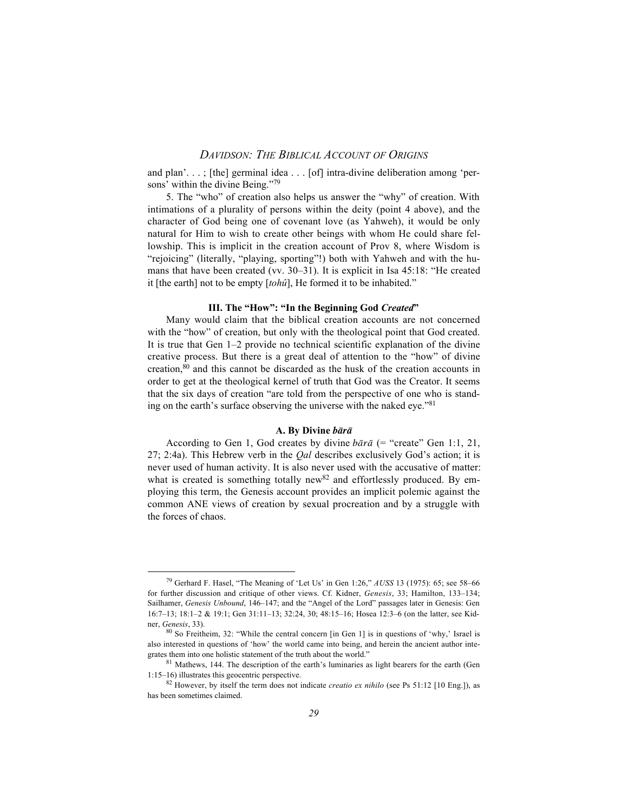and plan'. . . ; [the] germinal idea . . . [of] intra-divine deliberation among 'persons' within the divine Being."79

5. The "who" of creation also helps us answer the "why" of creation. With intimations of a plurality of persons within the deity (point 4 above), and the character of God being one of covenant love (as Yahweh), it would be only natural for Him to wish to create other beings with whom He could share fellowship. This is implicit in the creation account of Prov 8, where Wisdom is "rejoicing" (literally, "playing, sporting"!) both with Yahweh and with the humans that have been created (vv. 30–31). It is explicit in Isa 45:18: "He created it [the earth] not to be empty [*tohû*], He formed it to be inhabited."

#### **III. The "How": "In the Beginning God** *Created***"**

Many would claim that the biblical creation accounts are not concerned with the "how" of creation, but only with the theological point that God created. It is true that Gen 1–2 provide no technical scientific explanation of the divine creative process. But there is a great deal of attention to the "how" of divine creation,80 and this cannot be discarded as the husk of the creation accounts in order to get at the theological kernel of truth that God was the Creator. It seems that the six days of creation "are told from the perspective of one who is standing on the earth's surface observing the universe with the naked eye."<sup>81</sup>

## **A. By Divine** *baœraœ*

According to Gen 1, God creates by divine  $b\bar{a}r\bar{a}$  (= "create" Gen 1:1, 21, 27; 2:4a). This Hebrew verb in the *Qal* describes exclusively God's action; it is never used of human activity. It is also never used with the accusative of matter: what is created is something totally new  $82$  and effortlessly produced. By employing this term, the Genesis account provides an implicit polemic against the common ANE views of creation by sexual procreation and by a struggle with the forces of chaos.

79 Gerhard F. Hasel, "The Meaning of 'Let Us' in Gen 1:26," *AUSS* 13 (1975): 65; see 58–66 for further discussion and critique of other views. Cf. Kidner, *Genesis*, 33; Hamilton, 133–134; Sailhamer, *Genesis Unbound*, 146–147; and the "Angel of the Lord" passages later in Genesis: Gen 16:7–13; 18:1–2 & 19:1; Gen 31:11–13; 32:24, 30; 48:15–16; Hosea 12:3–6 (on the latter, see Kidner, *Genesis*, 33).

<sup>80</sup> So Freitheim, 32: "While the central concern [in Gen 1] is in questions of 'why,' Israel is also interested in questions of 'how' the world came into being, and herein the ancient author integrates them into one holistic statement of the truth about the world."

<sup>81</sup> Mathews, 144. The description of the earth's luminaries as light bearers for the earth (Gen 1:15–16) illustrates this geocentric perspective.

<sup>82</sup> However, by itself the term does not indicate *creatio ex nihilo* (see Ps 51:12 [10 Eng.]), as has been sometimes claimed.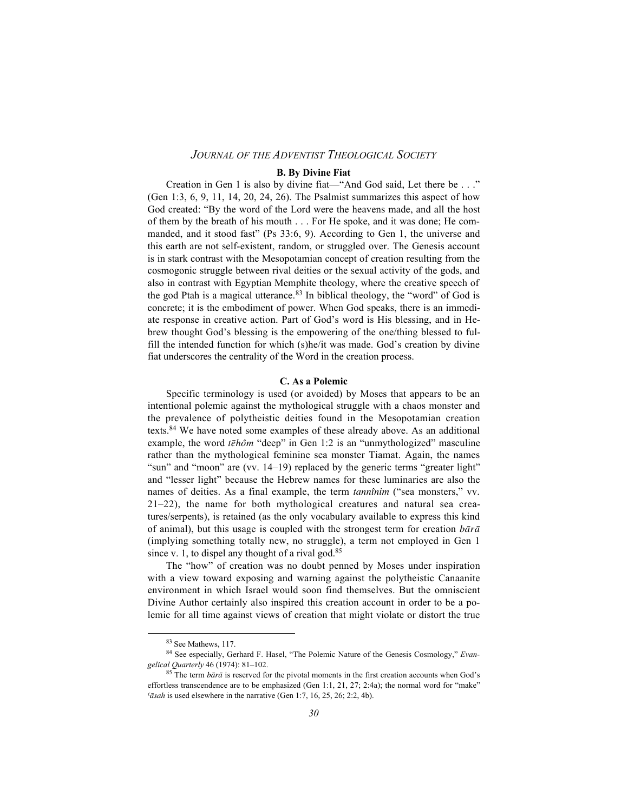#### **B. By Divine Fiat**

Creation in Gen 1 is also by divine fiat—"And God said, Let there be . . ." (Gen 1:3, 6, 9, 11, 14, 20, 24, 26). The Psalmist summarizes this aspect of how God created: "By the word of the Lord were the heavens made, and all the host of them by the breath of his mouth . . . For He spoke, and it was done; He commanded, and it stood fast" (Ps 33:6, 9). According to Gen 1, the universe and this earth are not self-existent, random, or struggled over. The Genesis account is in stark contrast with the Mesopotamian concept of creation resulting from the cosmogonic struggle between rival deities or the sexual activity of the gods, and also in contrast with Egyptian Memphite theology, where the creative speech of the god Ptah is a magical utterance.<sup>83</sup> In biblical theology, the "word" of God is concrete; it is the embodiment of power. When God speaks, there is an immediate response in creative action. Part of God's word is His blessing, and in Hebrew thought God's blessing is the empowering of the one/thing blessed to fulfill the intended function for which (s)he/it was made. God's creation by divine fiat underscores the centrality of the Word in the creation process.

#### **C. As a Polemic**

Specific terminology is used (or avoided) by Moses that appears to be an intentional polemic against the mythological struggle with a chaos monster and the prevalence of polytheistic deities found in the Mesopotamian creation texts.84 We have noted some examples of these already above. As an additional example, the word *tehôm* "deep" in Gen 1:2 is an "unmythologized" masculine rather than the mythological feminine sea monster Tiamat. Again, the names "sun" and "moon" are (vv. 14–19) replaced by the generic terms "greater light" and "lesser light" because the Hebrew names for these luminaries are also the names of deities. As a final example, the term *tannînim* ("sea monsters," vv. 21–22), the name for both mythological creatures and natural sea creatures/serpents), is retained (as the only vocabulary available to express this kind of animal), but this usage is coupled with the strongest term for creation  $b\bar{a}r\bar{a}$ (implying something totally new, no struggle), a term not employed in Gen 1 since v. 1, to dispel any thought of a rival god.<sup>85</sup>

The "how" of creation was no doubt penned by Moses under inspiration with a view toward exposing and warning against the polytheistic Canaanite environment in which Israel would soon find themselves. But the omniscient Divine Author certainly also inspired this creation account in order to be a polemic for all time against views of creation that might violate or distort the true

83 See Mathews, 117.

<sup>84</sup> See especially, Gerhard F. Hasel, "The Polemic Nature of the Genesis Cosmology," *Evangelical Quarterly* 46 (1974): 81–102.

<sup>85</sup> The term *bara* is reserved for the pivotal moments in the first creation accounts when God's effortless transcendence are to be emphasized (Gen 1:1, 21, 27; 2:4a); the normal word for "make"  $\sqrt{a}$ sah is used elsewhere in the narrative (Gen 1:7, 16, 25, 26; 2:2, 4b).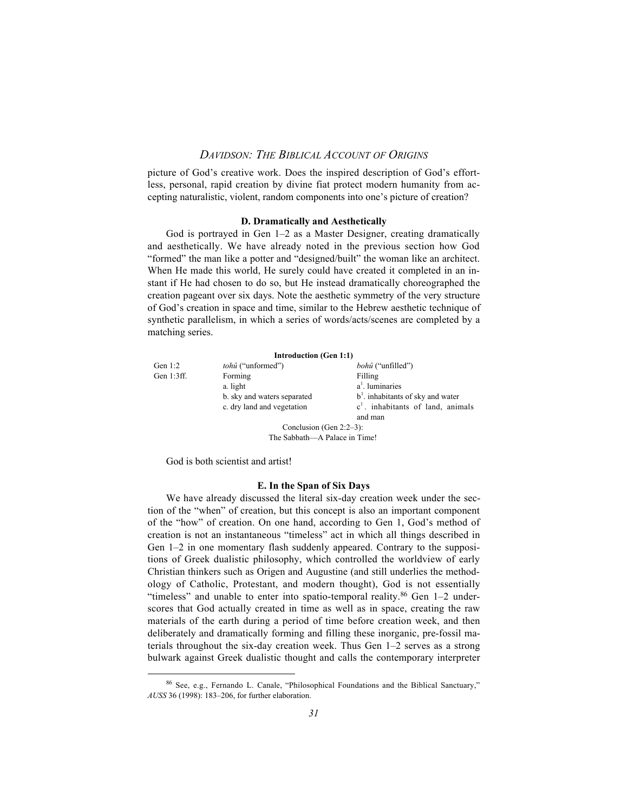picture of God's creative work. Does the inspired description of God's effortless, personal, rapid creation by divine fiat protect modern humanity from accepting naturalistic, violent, random components into one's picture of creation?

#### **D. Dramatically and Aesthetically**

God is portrayed in Gen 1–2 as a Master Designer, creating dramatically and aesthetically. We have already noted in the previous section how God "formed" the man like a potter and "designed/built" the woman like an architect. When He made this world, He surely could have created it completed in an instant if He had chosen to do so, but He instead dramatically choreographed the creation pageant over six days. Note the aesthetic symmetry of the very structure of God's creation in space and time, similar to the Hebrew aesthetic technique of synthetic parallelism, in which a series of words/acts/scenes are completed by a matching series.

|               | <b>Introduction (Gen 1:1)</b> |                                     |  |
|---------------|-------------------------------|-------------------------------------|--|
| Gen $1:2$     | <i>tohû</i> ("unformed")      | <i>bohû</i> ("unfilled")            |  |
| Gen $1:3$ ff. | Forming                       | Filling                             |  |
|               | a. light                      | $a1$ . luminaries                   |  |
|               | b. sky and waters separated   | $b1$ . inhabitants of sky and water |  |
|               | c. dry land and vegetation    | $c1$ . inhabitants of land, animals |  |
|               |                               | and man                             |  |
|               | Conclusion (Gen $2:2-3$ ):    |                                     |  |
|               | The Sabbath-A Palace in Time! |                                     |  |

God is both scientist and artist!

#### **E. In the Span of Six Days**

We have already discussed the literal six-day creation week under the section of the "when" of creation, but this concept is also an important component of the "how" of creation. On one hand, according to Gen 1, God's method of creation is not an instantaneous "timeless" act in which all things described in Gen 1–2 in one momentary flash suddenly appeared. Contrary to the suppositions of Greek dualistic philosophy, which controlled the worldview of early Christian thinkers such as Origen and Augustine (and still underlies the methodology of Catholic, Protestant, and modern thought), God is not essentially "timeless" and unable to enter into spatio-temporal reality.<sup>86</sup> Gen 1-2 underscores that God actually created in time as well as in space, creating the raw materials of the earth during a period of time before creation week, and then deliberately and dramatically forming and filling these inorganic, pre-fossil materials throughout the six-day creation week. Thus Gen 1–2 serves as a strong bulwark against Greek dualistic thought and calls the contemporary interpreter

86 See, e.g., Fernando L. Canale, "Philosophical Foundations and the Biblical Sanctuary," *AUSS* 36 (1998): 183–206, for further elaboration.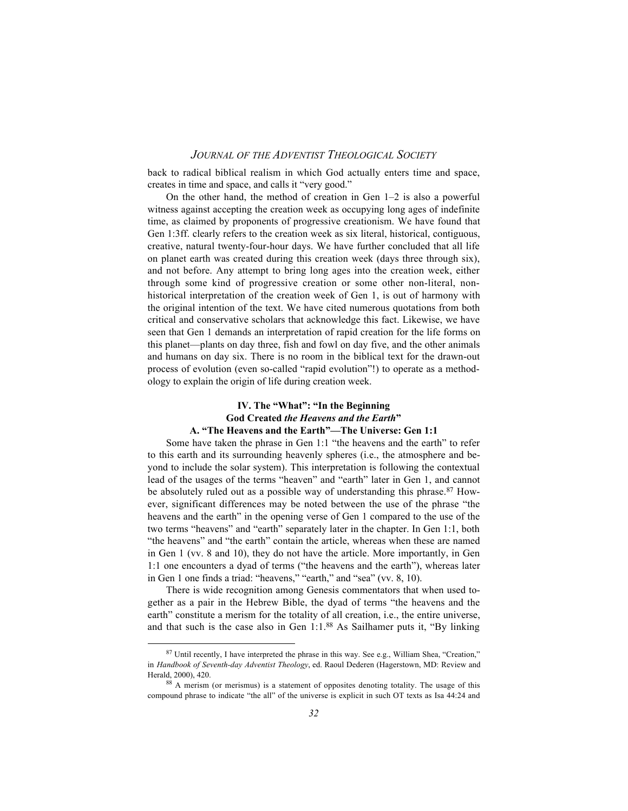back to radical biblical realism in which God actually enters time and space, creates in time and space, and calls it "very good."

On the other hand, the method of creation in Gen 1–2 is also a powerful witness against accepting the creation week as occupying long ages of indefinite time, as claimed by proponents of progressive creationism. We have found that Gen 1:3ff. clearly refers to the creation week as six literal, historical, contiguous, creative, natural twenty-four-hour days. We have further concluded that all life on planet earth was created during this creation week (days three through six), and not before. Any attempt to bring long ages into the creation week, either through some kind of progressive creation or some other non-literal, nonhistorical interpretation of the creation week of Gen 1, is out of harmony with the original intention of the text. We have cited numerous quotations from both critical and conservative scholars that acknowledge this fact. Likewise, we have seen that Gen 1 demands an interpretation of rapid creation for the life forms on this planet—plants on day three, fish and fowl on day five, and the other animals and humans on day six. There is no room in the biblical text for the drawn-out process of evolution (even so-called "rapid evolution"!) to operate as a methodology to explain the origin of life during creation week.

# **IV. The "What": "In the Beginning God Created** *the Heavens and the Earth***" A. "The Heavens and the Earth"—The Universe: Gen 1:1**

Some have taken the phrase in Gen 1:1 "the heavens and the earth" to refer to this earth and its surrounding heavenly spheres (i.e., the atmosphere and beyond to include the solar system). This interpretation is following the contextual lead of the usages of the terms "heaven" and "earth" later in Gen 1, and cannot be absolutely ruled out as a possible way of understanding this phrase.<sup>87</sup> However, significant differences may be noted between the use of the phrase "the heavens and the earth" in the opening verse of Gen 1 compared to the use of the two terms "heavens" and "earth" separately later in the chapter. In Gen 1:1, both "the heavens" and "the earth" contain the article, whereas when these are named in Gen 1 (vv. 8 and 10), they do not have the article. More importantly, in Gen 1:1 one encounters a dyad of terms ("the heavens and the earth"), whereas later in Gen 1 one finds a triad: "heavens," "earth," and "sea" (vv. 8, 10).

There is wide recognition among Genesis commentators that when used together as a pair in the Hebrew Bible, the dyad of terms "the heavens and the earth" constitute a merism for the totality of all creation, i.e., the entire universe, and that such is the case also in Gen 1:1.88 As Sailhamer puts it, "By linking

 $87$  Until recently, I have interpreted the phrase in this way. See e.g., William Shea, "Creation," in *Handbook of Seventh-day Adventist Theology*, ed. Raoul Dederen (Hagerstown, MD: Review and Herald, 2000), 420.

<sup>88</sup> A merism (or merismus) is a statement of opposites denoting totality. The usage of this compound phrase to indicate "the all" of the universe is explicit in such OT texts as Isa 44:24 and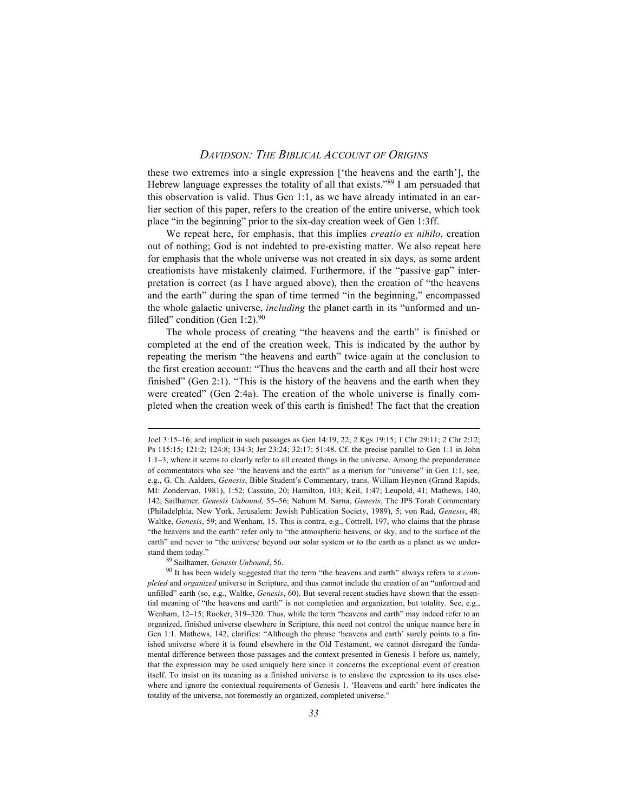these two extremes into a single expression ['the heavens and the earth'], the Hebrew language expresses the totality of all that exists."<sup>89</sup> I am persuaded that this observation is valid. Thus Gen 1:1, as we have already intimated in an earlier section of this paper, refers to the creation of the entire universe, which took place "in the beginning" prior to the six-day creation week of Gen 1:3ff.

We repeat here, for emphasis, that this implies *creatio ex nihilo*, creation out of nothing; God is not indebted to pre-existing matter. We also repeat here for emphasis that the whole universe was not created in six days, as some ardent creationists have mistakenly claimed. Furthermore, if the "passive gap" interpretation is correct (as I have argued above), then the creation of "the heavens and the earth" during the span of time termed "in the beginning," encompassed the whole galactic universe, *including* the planet earth in its "unformed and unfilled" condition (Gen 1:2). $90$ 

The whole process of creating "the heavens and the earth" is finished or completed at the end of the creation week. This is indicated by the author by repeating the merism "the heavens and earth" twice again at the conclusion to the first creation account: "Thus the heavens and the earth and all their host were finished" (Gen 2:1). "This is the history of the heavens and the earth when they were created" (Gen 2:4a). The creation of the whole universe is finally completed when the creation week of this earth is finished! The fact that the creation

89 Sailhamer, *Genesis Unbound*, 56.

 $\overline{a}$ 

Joel 3:15–16; and implicit in such passages as Gen 14:19, 22; 2 Kgs 19:15; 1 Chr 29:11; 2 Chr 2:12; Ps 115:15; 121:2; 124:8; 134:3; Jer 23:24; 32:17; 51:48. Cf. the precise parallel to Gen 1:1 in John 1:1–3, where it seems to clearly refer to all created things in the universe. Among the preponderance of commentators who see "the heavens and the earth" as a merism for "universe" in Gen 1:1, see, e.g., G. Ch. Aalders, *Genesis*, Bible Student's Commentary, trans. William Heynen (Grand Rapids, MI: Zondervan, 1981), 1:52; Cassuto, 20; Hamilton, 103; Keil, 1:47; Leupold, 41; Mathews, 140, 142; Sailhamer, *Genesis Unbound*, 55–56; Nahum M. Sarna, *Genesis*, The JPS Torah Commentary (Philadelphia, New York, Jerusalem: Jewish Publication Society, 1989), 5; von Rad, *Genesis*, 48; Waltke, *Genesis*, 59; and Wenham, 15. This is contra, e.g., Cottrell, 197, who claims that the phrase "the heavens and the earth" refer only to "the atmospheric heavens, or sky, and to the surface of the earth" and never to "the universe beyond our solar system or to the earth as a planet as we understand them today."

<sup>90</sup> It has been widely suggested that the term "the heavens and earth" always refers to a *completed* and *organized* universe in Scripture, and thus cannot include the creation of an "unformed and unfilled" earth (so, e.g., Waltke, *Genesis*, 60). But several recent studies have shown that the essential meaning of "the heavens and earth" is not completion and organization, but totality. See, e.g., Wenham, 12–15; Rooker, 319–320. Thus, while the term "heavens and earth" may indeed refer to an organized, finished universe elsewhere in Scripture, this need not control the unique nuance here in Gen 1:1. Mathews, 142, clarifies: "Although the phrase 'heavens and earth' surely points to a finished universe where it is found elsewhere in the Old Testament, we cannot disregard the fundamental difference between those passages and the context presented in Genesis 1 before us, namely, that the expression may be used uniquely here since it concerns the exceptional event of creation itself. To insist on its meaning as a finished universe is to enslave the expression to its uses elsewhere and ignore the contextual requirements of Genesis 1. 'Heavens and earth' here indicates the totality of the universe, not foremostly an organized, completed universe."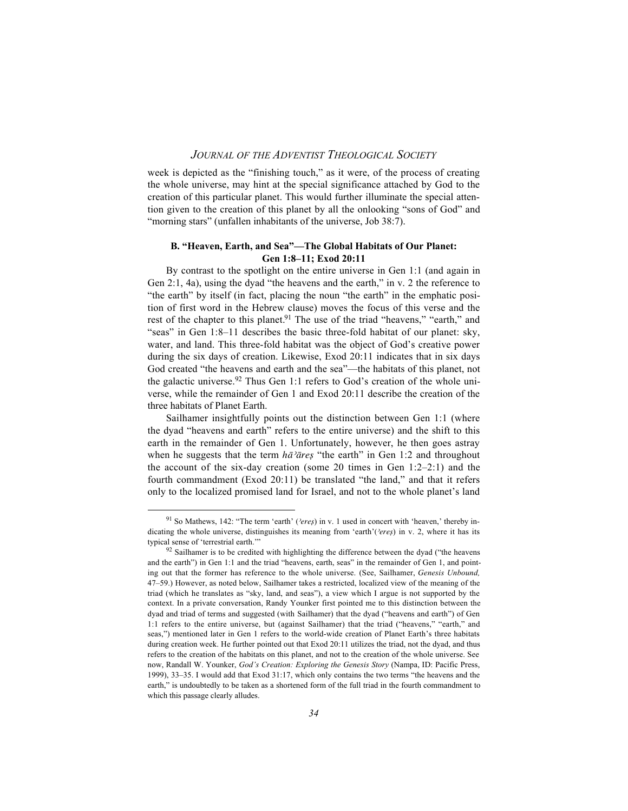week is depicted as the "finishing touch," as it were, of the process of creating the whole universe, may hint at the special significance attached by God to the creation of this particular planet. This would further illuminate the special attention given to the creation of this planet by all the onlooking "sons of God" and "morning stars" (unfallen inhabitants of the universe, Job 38:7).

### **B. "Heaven, Earth, and Sea"—The Global Habitats of Our Planet: Gen 1:8–11; Exod 20:11**

By contrast to the spotlight on the entire universe in Gen 1:1 (and again in Gen 2:1, 4a), using the dyad "the heavens and the earth," in v. 2 the reference to "the earth" by itself (in fact, placing the noun "the earth" in the emphatic position of first word in the Hebrew clause) moves the focus of this verse and the rest of the chapter to this planet.<sup>91</sup> The use of the triad "heavens," "earth," and "seas" in Gen 1:8–11 describes the basic three-fold habitat of our planet: sky, water, and land. This three-fold habitat was the object of God's creative power during the six days of creation. Likewise, Exod 20:11 indicates that in six days God created "the heavens and earth and the sea"—the habitats of this planet, not the galactic universe.<sup>92</sup> Thus Gen 1:1 refers to God's creation of the whole universe, while the remainder of Gen 1 and Exod 20:11 describe the creation of the three habitats of Planet Earth.

Sailhamer insightfully points out the distinction between Gen 1:1 (where the dyad "heavens and earth" refers to the entire universe) and the shift to this earth in the remainder of Gen 1. Unfortunately, however, he then goes astray when he suggests that the term  $h\bar{\alpha}$ <sup>2</sup> $\bar{\alpha}$ res<sup>*c*</sup> "the earth" in Gen 1:2 and throughout the account of the six-day creation (some 20 times in Gen  $1:2-2:1$ ) and the fourth commandment (Exod 20:11) be translated "the land," and that it refers only to the localized promised land for Israel, and not to the whole planet's land

<sup>&</sup>lt;sup>91</sup> So Mathews, 142: "The term 'earth' (*'eres*) in v. 1 used in concert with 'heaven,' thereby indicating the whole universe, distinguishes its meaning from 'earth'(*'eres*) in v. 2, where it has its typical sense of 'terrestrial earth.'"

 $92$  Sailhamer is to be credited with highlighting the difference between the dyad ("the heavens and the earth") in Gen 1:1 and the triad "heavens, earth, seas" in the remainder of Gen 1, and pointing out that the former has reference to the whole universe. (See, Sailhamer, *Genesis Unbound,* 47–59.) However, as noted below, Sailhamer takes a restricted, localized view of the meaning of the triad (which he translates as "sky, land, and seas"), a view which I argue is not supported by the context. In a private conversation, Randy Younker first pointed me to this distinction between the dyad and triad of terms and suggested (with Sailhamer) that the dyad ("heavens and earth") of Gen 1:1 refers to the entire universe, but (against Sailhamer) that the triad ("heavens," "earth," and seas,") mentioned later in Gen 1 refers to the world-wide creation of Planet Earth's three habitats during creation week. He further pointed out that Exod 20:11 utilizes the triad, not the dyad, and thus refers to the creation of the habitats on this planet, and not to the creation of the whole universe. See now, Randall W. Younker, *God's Creation: Exploring the Genesis Story* (Nampa, ID: Pacific Press, 1999), 33–35. I would add that Exod 31:17, which only contains the two terms "the heavens and the earth," is undoubtedly to be taken as a shortened form of the full triad in the fourth commandment to which this passage clearly alludes.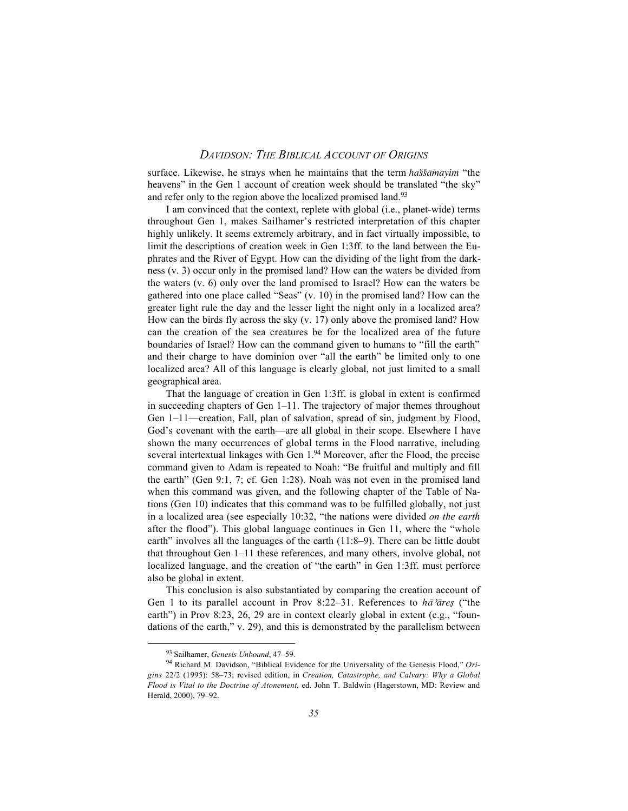surface. Likewise, he strays when he maintains that the term *haššāmayim* "the heavens" in the Gen 1 account of creation week should be translated "the sky" and refer only to the region above the localized promised land.<sup>93</sup>

I am convinced that the context, replete with global (i.e., planet-wide) terms throughout Gen 1, makes Sailhamer's restricted interpretation of this chapter highly unlikely. It seems extremely arbitrary, and in fact virtually impossible, to limit the descriptions of creation week in Gen 1:3ff. to the land between the Euphrates and the River of Egypt. How can the dividing of the light from the darkness (v. 3) occur only in the promised land? How can the waters be divided from the waters (v. 6) only over the land promised to Israel? How can the waters be gathered into one place called "Seas" (v. 10) in the promised land? How can the greater light rule the day and the lesser light the night only in a localized area? How can the birds fly across the sky (v. 17) only above the promised land? How can the creation of the sea creatures be for the localized area of the future boundaries of Israel? How can the command given to humans to "fill the earth" and their charge to have dominion over "all the earth" be limited only to one localized area? All of this language is clearly global, not just limited to a small geographical area.

That the language of creation in Gen 1:3ff. is global in extent is confirmed in succeeding chapters of Gen 1–11. The trajectory of major themes throughout Gen 1–11—creation, Fall, plan of salvation, spread of sin, judgment by Flood, God's covenant with the earth—are all global in their scope. Elsewhere I have shown the many occurrences of global terms in the Flood narrative, including several intertextual linkages with Gen 1.94 Moreover, after the Flood, the precise command given to Adam is repeated to Noah: "Be fruitful and multiply and fill the earth" (Gen 9:1, 7; cf. Gen 1:28). Noah was not even in the promised land when this command was given, and the following chapter of the Table of Nations (Gen 10) indicates that this command was to be fulfilled globally, not just in a localized area (see especially 10:32, "the nations were divided *on the earth* after the flood"). This global language continues in Gen 11, where the "whole earth" involves all the languages of the earth (11:8–9). There can be little doubt that throughout Gen 1–11 these references, and many others, involve global, not localized language, and the creation of "the earth" in Gen 1:3ff. must perforce also be global in extent.

This conclusion is also substantiated by comparing the creation account of Gen 1 to its parallel account in Prov 8:22–31. References to *ha*<sup>2</sup>ares ("the earth") in Prov 8:23, 26, 29 are in context clearly global in extent (e.g., "foundations of the earth," v. 29), and this is demonstrated by the parallelism between

93 Sailhamer, *Genesis Unbound*, 47–59.

<sup>94</sup> Richard M. Davidson, "Biblical Evidence for the Universality of the Genesis Flood," *Origins* 22/2 (1995): 58–73; revised edition, in *Creation, Catastrophe, and Calvary: Why a Global Flood is Vital to the Doctrine of Atonement*, ed. John T. Baldwin (Hagerstown, MD: Review and Herald, 2000), 79–92.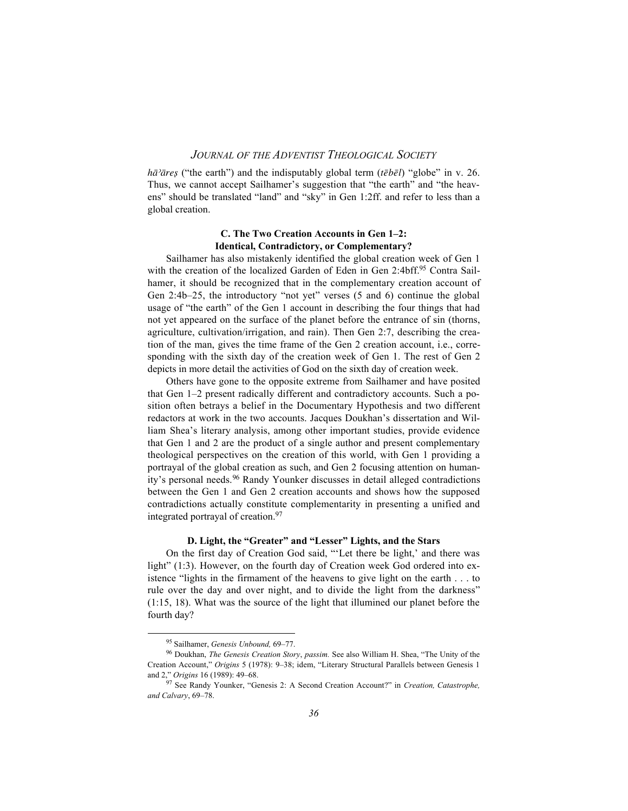*h* $\bar{a}$ <sup>2</sup>*ares* ("the earth") and the indisputably global term ( $\bar{t}$ *ebel*) "globe" in v. 26. Thus, we cannot accept Sailhamer's suggestion that "the earth" and "the heavens" should be translated "land" and "sky" in Gen 1:2ff. and refer to less than a global creation.

#### **C. The Two Creation Accounts in Gen 1–2: Identical, Contradictory, or Complementary?**

Sailhamer has also mistakenly identified the global creation week of Gen 1 with the creation of the localized Garden of Eden in Gen 2:4bff.95 Contra Sailhamer, it should be recognized that in the complementary creation account of Gen 2:4b–25, the introductory "not yet" verses (5 and 6) continue the global usage of "the earth" of the Gen 1 account in describing the four things that had not yet appeared on the surface of the planet before the entrance of sin (thorns, agriculture, cultivation/irrigation, and rain). Then Gen 2:7, describing the creation of the man, gives the time frame of the Gen 2 creation account, i.e., corresponding with the sixth day of the creation week of Gen 1. The rest of Gen 2 depicts in more detail the activities of God on the sixth day of creation week.

Others have gone to the opposite extreme from Sailhamer and have posited that Gen 1–2 present radically different and contradictory accounts. Such a position often betrays a belief in the Documentary Hypothesis and two different redactors at work in the two accounts. Jacques Doukhan's dissertation and William Shea's literary analysis, among other important studies, provide evidence that Gen 1 and 2 are the product of a single author and present complementary theological perspectives on the creation of this world, with Gen 1 providing a portrayal of the global creation as such, and Gen 2 focusing attention on humanity's personal needs.96 Randy Younker discusses in detail alleged contradictions between the Gen 1 and Gen 2 creation accounts and shows how the supposed contradictions actually constitute complementarity in presenting a unified and integrated portrayal of creation.97

### **D. Light, the "Greater" and "Lesser" Lights, and the Stars**

On the first day of Creation God said, "'Let there be light,' and there was light" (1:3). However, on the fourth day of Creation week God ordered into existence "lights in the firmament of the heavens to give light on the earth . . . to rule over the day and over night, and to divide the light from the darkness" (1:15, 18). What was the source of the light that illumined our planet before the fourth day?

95 Sailhamer, *Genesis Unbound,* 69–77.

<sup>96</sup> Doukhan, *The Genesis Creation Story*, *passim.* See also William H. Shea, "The Unity of the Creation Account," *Origins* 5 (1978): 9–38; idem, "Literary Structural Parallels between Genesis 1 and 2," *Origins* 16 (1989): 49–68.

<sup>97</sup> See Randy Younker, "Genesis 2: A Second Creation Account?" in *Creation, Catastrophe, and Calvary*, 69–78.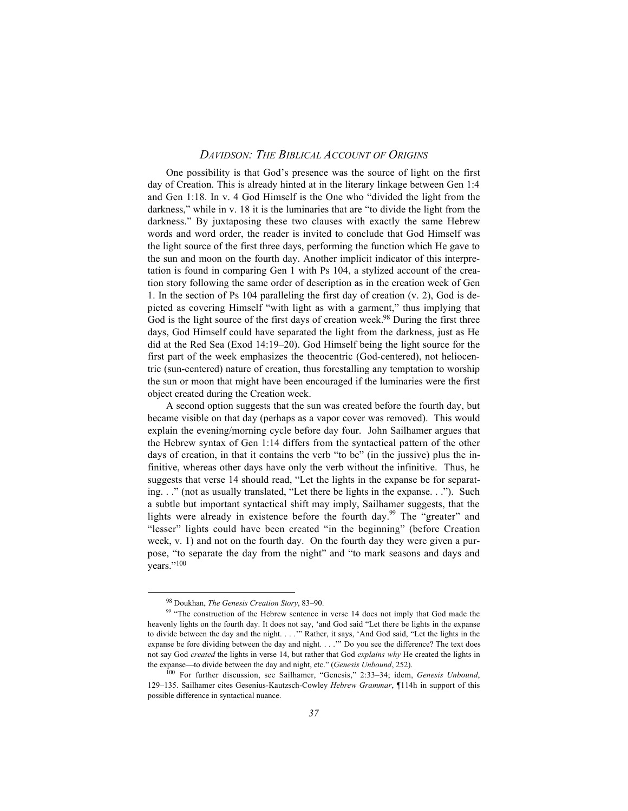One possibility is that God's presence was the source of light on the first day of Creation. This is already hinted at in the literary linkage between Gen 1:4 and Gen 1:18. In v. 4 God Himself is the One who "divided the light from the darkness," while in v. 18 it is the luminaries that are "to divide the light from the darkness." By juxtaposing these two clauses with exactly the same Hebrew words and word order, the reader is invited to conclude that God Himself was the light source of the first three days, performing the function which He gave to the sun and moon on the fourth day. Another implicit indicator of this interpretation is found in comparing Gen 1 with Ps 104, a stylized account of the creation story following the same order of description as in the creation week of Gen 1. In the section of Ps 104 paralleling the first day of creation (v. 2), God is depicted as covering Himself "with light as with a garment," thus implying that God is the light source of the first days of creation week.<sup>98</sup> During the first three days, God Himself could have separated the light from the darkness, just as He did at the Red Sea (Exod 14:19–20). God Himself being the light source for the first part of the week emphasizes the theocentric (God-centered), not heliocentric (sun-centered) nature of creation, thus forestalling any temptation to worship the sun or moon that might have been encouraged if the luminaries were the first object created during the Creation week.

A second option suggests that the sun was created before the fourth day, but became visible on that day (perhaps as a vapor cover was removed). This would explain the evening/morning cycle before day four. John Sailhamer argues that the Hebrew syntax of Gen 1:14 differs from the syntactical pattern of the other days of creation, in that it contains the verb "to be" (in the jussive) plus the infinitive, whereas other days have only the verb without the infinitive. Thus, he suggests that verse 14 should read, "Let the lights in the expanse be for separating. . ." (not as usually translated, "Let there be lights in the expanse. . ."). Such a subtle but important syntactical shift may imply, Sailhamer suggests, that the lights were already in existence before the fourth day.<sup>99</sup> The "greater" and "lesser" lights could have been created "in the beginning" (before Creation week, v. 1) and not on the fourth day. On the fourth day they were given a purpose, "to separate the day from the night" and "to mark seasons and days and years."100

98 Doukhan, *The Genesis Creation Story*, 83–90.

<sup>&</sup>lt;sup>99</sup> "The construction of the Hebrew sentence in verse 14 does not imply that God made the heavenly lights on the fourth day. It does not say, 'and God said "Let there be lights in the expanse to divide between the day and the night. . . .'" Rather, it says, 'And God said, "Let the lights in the expanse be fore dividing between the day and night. . . .'" Do you see the difference? The text does not say God *created* the lights in verse 14, but rather that God *explains why* He created the lights in the expanse—to divide between the day and night, etc." (*Genesis Unbound*, 252).

<sup>100</sup> For further discussion, see Sailhamer, "Genesis," 2:33–34; idem, *Genesis Unbound*, 129–135. Sailhamer cites Gesenius-Kautzsch-Cowley *Hebrew Grammar*, ¶114h in support of this possible difference in syntactical nuance.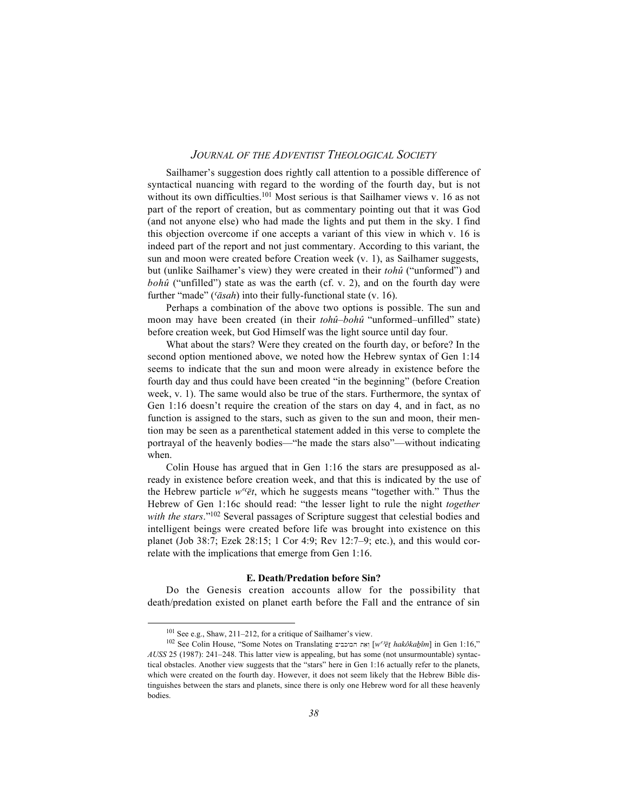Sailhamer's suggestion does rightly call attention to a possible difference of syntactical nuancing with regard to the wording of the fourth day, but is not without its own difficulties.<sup>101</sup> Most serious is that Sailhamer views v. 16 as not part of the report of creation, but as commentary pointing out that it was God (and not anyone else) who had made the lights and put them in the sky. I find this objection overcome if one accepts a variant of this view in which v. 16 is indeed part of the report and not just commentary. According to this variant, the sun and moon were created before Creation week (v. 1), as Sailhamer suggests, but (unlike Sailhamer's view) they were created in their *tohû* ("unformed") and *bohû* ("unfilled") state as was the earth (cf. v. 2), and on the fourth day were further "made" ('āsah) into their fully-functional state (v. 16).

Perhaps a combination of the above two options is possible. The sun and moon may have been created (in their *tohû*–*bohû* "unformed–unfilled" state) before creation week, but God Himself was the light source until day four.

What about the stars? Were they created on the fourth day, or before? In the second option mentioned above, we noted how the Hebrew syntax of Gen 1:14 seems to indicate that the sun and moon were already in existence before the fourth day and thus could have been created "in the beginning" (before Creation week, v. 1). The same would also be true of the stars. Furthermore, the syntax of Gen 1:16 doesn't require the creation of the stars on day 4, and in fact, as no function is assigned to the stars, such as given to the sun and moon, their mention may be seen as a parenthetical statement added in this verse to complete the portrayal of the heavenly bodies—"he made the stars also"—without indicating when.

Colin House has argued that in Gen 1:16 the stars are presupposed as already in existence before creation week, and that this is indicated by the use of the Hebrew particle  $w^{e}$  $\bar{e}t$ , which he suggests means "together with." Thus the Hebrew of Gen 1:16c should read: "the lesser light to rule the night *together with the stars*."102 Several passages of Scripture suggest that celestial bodies and intelligent beings were created before life was brought into existence on this planet (Job 38:7; Ezek 28:15; 1 Cor 4:9; Rev 12:7–9; etc.), and this would correlate with the implications that emerge from Gen 1:16.

#### **E. Death/Predation before Sin?**

Do the Genesis creation accounts allow for the possibility that death/predation existed on planet earth before the Fall and the entrance of sin

101 See e.g., Shaw, 211–212, for a critique of Sailhamer's view.

<sup>102</sup> See Colin House, "Some Notes on Translating אָת הכוכבים [*w°<sup>be</sup>t hakôkabûm*] in Gen 1:16," *AUSS* 25 (1987): 241–248. This latter view is appealing, but has some (not unsurmountable) syntactical obstacles. Another view suggests that the "stars" here in Gen 1:16 actually refer to the planets, which were created on the fourth day. However, it does not seem likely that the Hebrew Bible distinguishes between the stars and planets, since there is only one Hebrew word for all these heavenly bodies.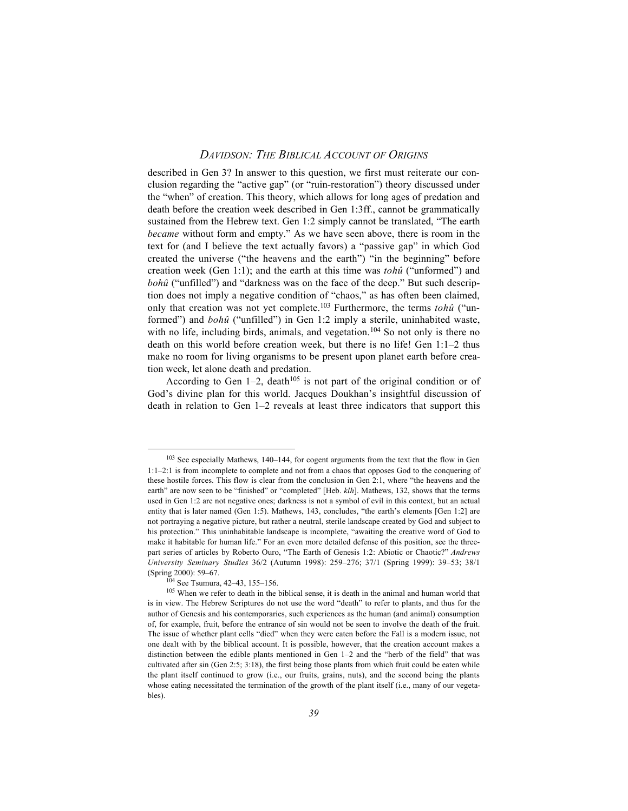described in Gen 3? In answer to this question, we first must reiterate our conclusion regarding the "active gap" (or "ruin-restoration") theory discussed under the "when" of creation. This theory, which allows for long ages of predation and death before the creation week described in Gen 1:3ff., cannot be grammatically sustained from the Hebrew text. Gen 1:2 simply cannot be translated, "The earth *became* without form and empty." As we have seen above, there is room in the text for (and I believe the text actually favors) a "passive gap" in which God created the universe ("the heavens and the earth") "in the beginning" before creation week (Gen 1:1); and the earth at this time was *tohû* ("unformed") and *bohû* ("unfilled") and "darkness was on the face of the deep." But such description does not imply a negative condition of "chaos," as has often been claimed, only that creation was not yet complete.103 Furthermore, the terms *tohû* ("unformed") and *bohû* ("unfilled") in Gen 1:2 imply a sterile, uninhabited waste, with no life, including birds, animals, and vegetation.<sup>104</sup> So not only is there no death on this world before creation week, but there is no life! Gen 1:1–2 thus make no room for living organisms to be present upon planet earth before creation week, let alone death and predation.

According to Gen  $1-2$ , death<sup>105</sup> is not part of the original condition or of God's divine plan for this world. Jacques Doukhan's insightful discussion of death in relation to Gen 1–2 reveals at least three indicators that support this

<sup>&</sup>lt;sup>103</sup> See especially Mathews, 140–144, for cogent arguments from the text that the flow in Gen 1:1–2:1 is from incomplete to complete and not from a chaos that opposes God to the conquering of these hostile forces. This flow is clear from the conclusion in Gen 2:1, where "the heavens and the earth" are now seen to be "finished" or "completed" [Heb. *klh*]. Mathews, 132, shows that the terms used in Gen 1:2 are not negative ones; darkness is not a symbol of evil in this context, but an actual entity that is later named (Gen 1:5). Mathews, 143, concludes, "the earth's elements [Gen 1:2] are not portraying a negative picture, but rather a neutral, sterile landscape created by God and subject to his protection." This uninhabitable landscape is incomplete, "awaiting the creative word of God to make it habitable for human life." For an even more detailed defense of this position, see the threepart series of articles by Roberto Ouro, "The Earth of Genesis 1:2: Abiotic or Chaotic?" *Andrews University Seminary Studies* 36/2 (Autumn 1998): 259–276; 37/1 (Spring 1999): 39–53; 38/1 (Spring 2000): 59–67.

<sup>104</sup> See Tsumura, 42–43, 155–156.

<sup>&</sup>lt;sup>105</sup> When we refer to death in the biblical sense, it is death in the animal and human world that is in view. The Hebrew Scriptures do not use the word "death" to refer to plants, and thus for the author of Genesis and his contemporaries, such experiences as the human (and animal) consumption of, for example, fruit, before the entrance of sin would not be seen to involve the death of the fruit. The issue of whether plant cells "died" when they were eaten before the Fall is a modern issue, not one dealt with by the biblical account. It is possible, however, that the creation account makes a distinction between the edible plants mentioned in Gen 1–2 and the "herb of the field" that was cultivated after sin (Gen 2:5; 3:18), the first being those plants from which fruit could be eaten while the plant itself continued to grow (i.e., our fruits, grains, nuts), and the second being the plants whose eating necessitated the termination of the growth of the plant itself (i.e., many of our vegetables).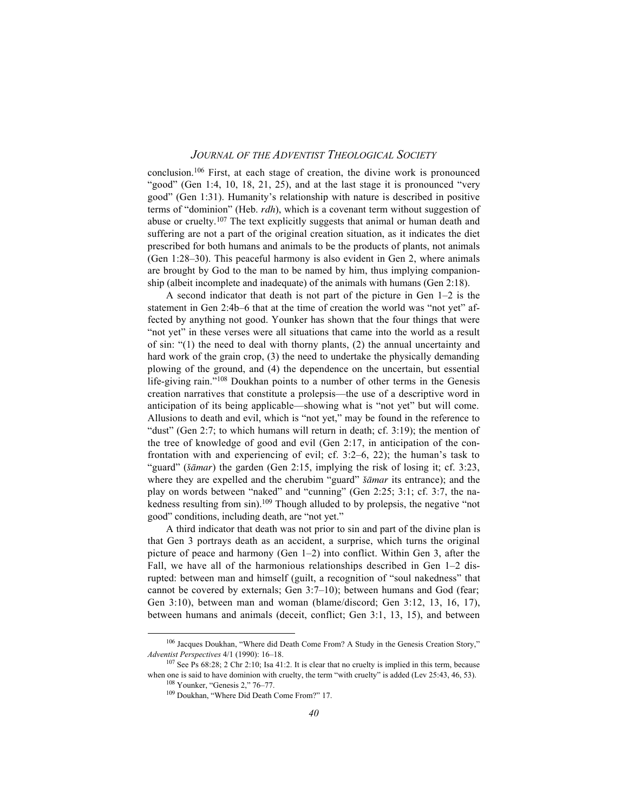conclusion.106 First, at each stage of creation, the divine work is pronounced "good" (Gen 1:4, 10, 18, 21, 25), and at the last stage it is pronounced "very good" (Gen 1:31). Humanity's relationship with nature is described in positive terms of "dominion" (Heb. *rdh*), which is a covenant term without suggestion of abuse or cruelty.107 The text explicitly suggests that animal or human death and suffering are not a part of the original creation situation, as it indicates the diet prescribed for both humans and animals to be the products of plants, not animals (Gen 1:28–30). This peaceful harmony is also evident in Gen 2, where animals are brought by God to the man to be named by him, thus implying companionship (albeit incomplete and inadequate) of the animals with humans (Gen 2:18).

A second indicator that death is not part of the picture in Gen 1–2 is the statement in Gen 2:4b–6 that at the time of creation the world was "not yet" affected by anything not good. Younker has shown that the four things that were "not yet" in these verses were all situations that came into the world as a result of sin: " $(1)$  the need to deal with thorny plants,  $(2)$  the annual uncertainty and hard work of the grain crop, (3) the need to undertake the physically demanding plowing of the ground, and (4) the dependence on the uncertain, but essential life-giving rain."108 Doukhan points to a number of other terms in the Genesis creation narratives that constitute a prolepsis—the use of a descriptive word in anticipation of its being applicable—showing what is "not yet" but will come. Allusions to death and evil, which is "not yet," may be found in the reference to "dust" (Gen 2:7; to which humans will return in death; cf. 3:19); the mention of the tree of knowledge of good and evil (Gen 2:17, in anticipation of the confrontation with and experiencing of evil; cf. 3:2–6, 22); the human's task to "guard" (*šāmar*) the garden (Gen 2:15, implying the risk of losing it; cf. 3:23, where they are expelled and the cherubim "guard" *šāmar* its entrance); and the play on words between "naked" and "cunning" (Gen 2:25; 3:1; cf. 3:7, the nakedness resulting from sin).<sup>109</sup> Though alluded to by prolepsis, the negative "not good" conditions, including death, are "not yet."

A third indicator that death was not prior to sin and part of the divine plan is that Gen 3 portrays death as an accident, a surprise, which turns the original picture of peace and harmony (Gen 1–2) into conflict. Within Gen 3, after the Fall, we have all of the harmonious relationships described in Gen 1–2 disrupted: between man and himself (guilt, a recognition of "soul nakedness" that cannot be covered by externals; Gen 3:7–10); between humans and God (fear; Gen 3:10), between man and woman (blame/discord; Gen 3:12, 13, 16, 17), between humans and animals (deceit, conflict; Gen 3:1, 13, 15), and between

106 Jacques Doukhan, "Where did Death Come From? A Study in the Genesis Creation Story," *Adventist Perspectives* 4/1 (1990): 16–18.

<sup>107</sup> See Ps 68:28; 2 Chr 2:10; Isa 41:2. It is clear that no cruelty is implied in this term, because when one is said to have dominion with cruelty, the term "with cruelty" is added (Lev 25:43, 46, 53). 108 Younker, "Genesis 2," 76–77.

<sup>109</sup> Doukhan, "Where Did Death Come From?" 17.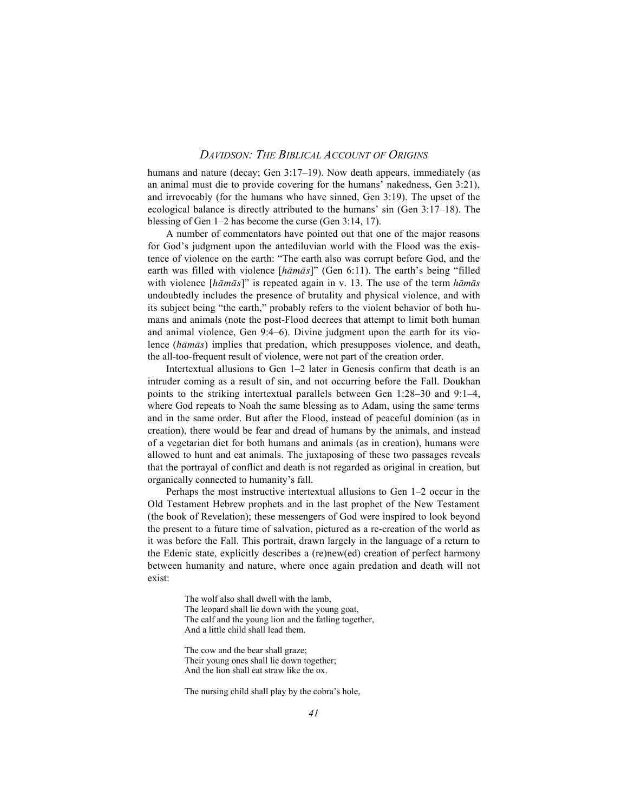humans and nature (decay; Gen 3:17–19). Now death appears, immediately (as an animal must die to provide covering for the humans' nakedness, Gen 3:21), and irrevocably (for the humans who have sinned, Gen 3:19). The upset of the ecological balance is directly attributed to the humans' sin (Gen 3:17–18). The blessing of Gen 1–2 has become the curse (Gen 3:14, 17).

A number of commentators have pointed out that one of the major reasons for God's judgment upon the antediluvian world with the Flood was the existence of violence on the earth: "The earth also was corrupt before God, and the earth was filled with violence [hamas]" (Gen 6:11). The earth's being "filled with violence [*hamas*]" is repeated again in v. 13. The use of the term *hamas* undoubtedly includes the presence of brutality and physical violence, and with its subject being "the earth," probably refers to the violent behavior of both humans and animals (note the post-Flood decrees that attempt to limit both human and animal violence, Gen 9:4–6). Divine judgment upon the earth for its violence (*hamas*) implies that predation, which presupposes violence, and death, the all-too-frequent result of violence, were not part of the creation order.

Intertextual allusions to Gen 1–2 later in Genesis confirm that death is an intruder coming as a result of sin, and not occurring before the Fall. Doukhan points to the striking intertextual parallels between Gen 1:28–30 and 9:1–4, where God repeats to Noah the same blessing as to Adam, using the same terms and in the same order. But after the Flood, instead of peaceful dominion (as in creation), there would be fear and dread of humans by the animals, and instead of a vegetarian diet for both humans and animals (as in creation), humans were allowed to hunt and eat animals. The juxtaposing of these two passages reveals that the portrayal of conflict and death is not regarded as original in creation, but organically connected to humanity's fall.

Perhaps the most instructive intertextual allusions to Gen 1–2 occur in the Old Testament Hebrew prophets and in the last prophet of the New Testament (the book of Revelation); these messengers of God were inspired to look beyond the present to a future time of salvation, pictured as a re-creation of the world as it was before the Fall. This portrait, drawn largely in the language of a return to the Edenic state, explicitly describes a (re)new(ed) creation of perfect harmony between humanity and nature, where once again predation and death will not exist:

> The wolf also shall dwell with the lamb, The leopard shall lie down with the young goat, The calf and the young lion and the fatling together, And a little child shall lead them.

The cow and the bear shall graze; Their young ones shall lie down together; And the lion shall eat straw like the ox.

The nursing child shall play by the cobra's hole,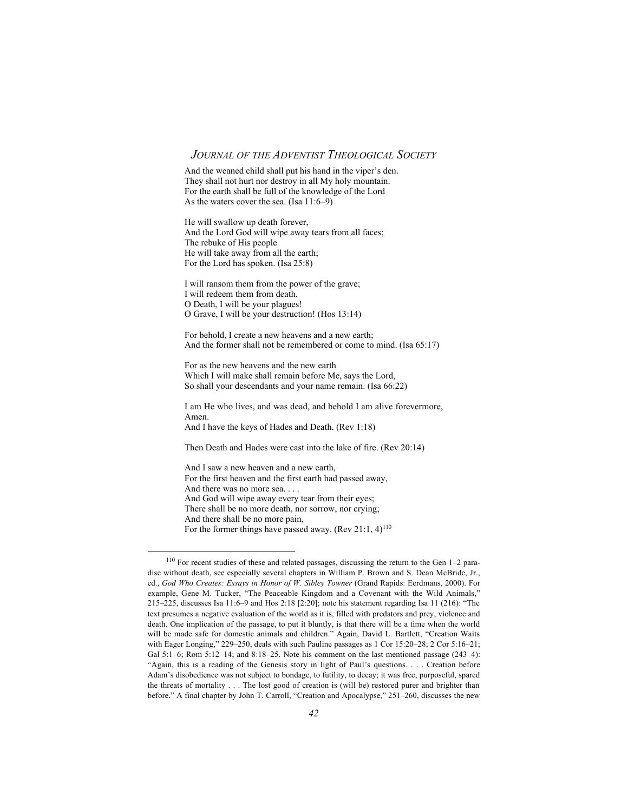And the weaned child shall put his hand in the viper's den. They shall not hurt nor destroy in all My holy mountain. For the earth shall be full of the knowledge of the Lord As the waters cover the sea. (Isa 11:6–9)

He will swallow up death forever, And the Lord God will wipe away tears from all faces; The rebuke of His people He will take away from all the earth; For the Lord has spoken. (Isa 25:8)

I will ransom them from the power of the grave; I will redeem them from death. O Death, I will be your plagues! O Grave, I will be your destruction! (Hos 13:14)

For behold, I create a new heavens and a new earth; And the former shall not be remembered or come to mind. (Isa 65:17)

For as the new heavens and the new earth Which I will make shall remain before Me, says the Lord, So shall your descendants and your name remain. (Isa 66:22)

I am He who lives, and was dead, and behold I am alive forevermore, Amen. And I have the keys of Hades and Death. (Rev 1:18)

Then Death and Hades were cast into the lake of fire. (Rev 20:14)

And I saw a new heaven and a new earth, For the first heaven and the first earth had passed away, And there was no more sea. . . . And God will wipe away every tear from their eyes; There shall be no more death, nor sorrow, nor crying; And there shall be no more pain, For the former things have passed away. (Rev 21:1,  $4$ )<sup>110</sup>

110 For recent studies of these and related passages, discussing the return to the Gen 1–2 paradise without death, see especially several chapters in William P. Brown and S. Dean McBride, Jr., ed., *God Who Creates: Essays in Honor of W. Sibley Towner* (Grand Rapids: Eerdmans, 2000). For example, Gene M. Tucker, "The Peaceable Kingdom and a Covenant with the Wild Animals," 215–225, discusses Isa 11:6–9 and Hos 2:18 [2:20]; note his statement regarding Isa 11 (216): "The text presumes a negative evaluation of the world as it is, filled with predators and prey, violence and death. One implication of the passage, to put it bluntly, is that there will be a time when the world will be made safe for domestic animals and children." Again, David L. Bartlett, "Creation Waits with Eager Longing," 229–250, deals with such Pauline passages as 1 Cor 15:20–28; 2 Cor 5:16–21; Gal  $5:1-6$ ; Rom  $5:12-14$ ; and  $8:18-25$ . Note his comment on the last mentioned passage  $(243-4)$ : "Again, this is a reading of the Genesis story in light of Paul's questions. . . . Creation before Adam's disobedience was not subject to bondage, to futility, to decay; it was free, purposeful, spared the threats of mortality . . . The lost good of creation is (will be) restored purer and brighter than before." A final chapter by John T. Carroll, "Creation and Apocalypse," 251–260, discusses the new